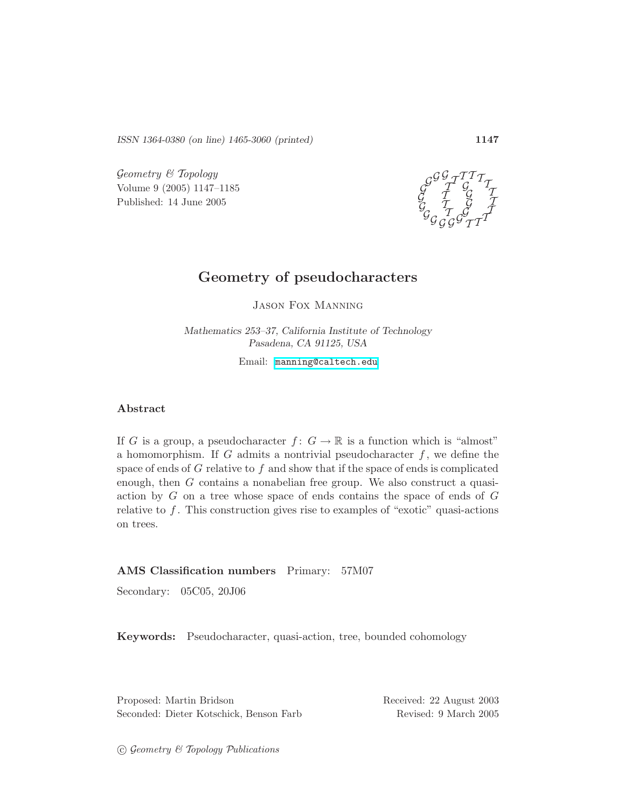ISSN 1364-0380 (on line) 1465-3060 (printed) 1147

 $Geometry \& Topology$ Volume 9 (2005) 1147–1185 Published: 14 June 2005



# Geometry of pseudocharacters

Jason Fox Manning

Mathematics 253–37, California Institute of Technology Pasadena, CA 91125, USA

Email: [manning@caltech.edu](mailto:manning@caltech.edu)

## Abstract

If G is a group, a pseudocharacter  $f: G \to \mathbb{R}$  is a function which is "almost" a homomorphism. If G admits a nontrivial pseudocharacter  $f$ , we define the space of ends of  $G$  relative to  $f$  and show that if the space of ends is complicated enough, then G contains a nonabelian free group. We also construct a quasiaction by G on a tree whose space of ends contains the space of ends of G relative to  $f$ . This construction gives rise to examples of "exotic" quasi-actions on trees.

### AMS Classification numbers Primary: 57M07

Secondary: 05C05, 20J06

Keywords: Pseudocharacter, quasi-action, tree, bounded cohomology

Proposed: Martin Bridson Received: 22 August 2003 Seconded: Dieter Kotschick, Benson Farb Revised: 9 March 2005

 $\odot$  Geometry & Topology Publications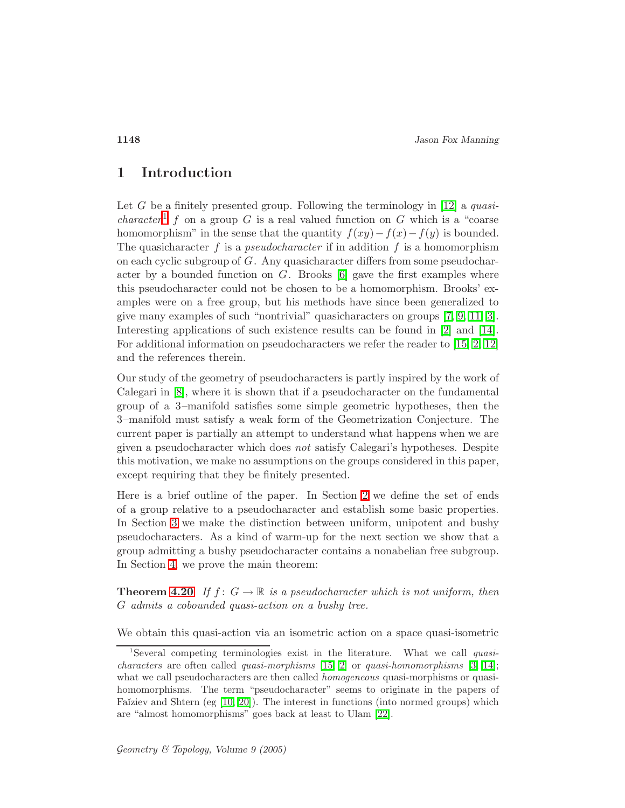## 1 Introduction

Let G be a finitely presented group. Following the terminology in  $[12]$  a quasi*character*<sup>[1](#page-1-0)</sup> f on a group G is a real valued function on G which is a "coarse" homomorphism" in the sense that the quantity  $f(xy)-f(x)-f(y)$  is bounded. The quasicharacter  $f$  is a *pseudocharacter* if in addition  $f$  is a homomorphism on each cyclic subgroup of  $G$ . Any quasicharacter differs from some pseudocharacter by a bounded function on  $G$ . Brooks  $[6]$  gave the first examples where this pseudocharacter could not be chosen to be a homomorphism. Brooks' examples were on a free group, but his methods have since been generalized to give many examples of such "nontrivial" quasicharacters on groups [\[7,](#page-38-1) [9,](#page-38-2) [11,](#page-38-3) [3\]](#page-37-1). Interesting applications of such existence results can be found in [\[2\]](#page-37-2) and [\[14\]](#page-38-4). For additional information on pseudocharacters we refer the reader to [\[15,](#page-38-5) [2,](#page-37-2) [12\]](#page-38-0) and the references therein.

Our study of the geometry of pseudocharacters is partly inspired by the work of Calegari in [\[8\]](#page-38-6), where it is shown that if a pseudocharacter on the fundamental group of a 3–manifold satisfies some simple geometric hypotheses, then the 3–manifold must satisfy a weak form of the Geometrization Conjecture. The current paper is partially an attempt to understand what happens when we are given a pseudocharacter which does not satisfy Calegari's hypotheses. Despite this motivation, we make no assumptions on the groups considered in this paper, except requiring that they be finitely presented.

Here is a brief outline of the paper. In Section [2](#page-2-0) we define the set of ends of a group relative to a pseudocharacter and establish some basic properties. In Section [3](#page-11-0) we make the distinction between uniform, unipotent and bushy pseudocharacters. As a kind of warm-up for the next section we show that a group admitting a bushy pseudocharacter contains a nonabelian free subgroup. In Section [4,](#page-15-0) we prove the main theorem:

**Theorem [4.20](#page-29-0)** If  $f: G \to \mathbb{R}$  is a pseudocharacter which is not uniform, then G admits a cobounded quasi-action on a bushy tree.

We obtain this quasi-action via an isometric action on a space quasi-isometric

<span id="page-1-0"></span><sup>&</sup>lt;sup>1</sup>Several competing terminologies exist in the literature. What we call *quasi*characters are often called quasi-morphisms [\[15,](#page-38-5) [2\]](#page-37-2) or quasi-homomorphisms [\[3,](#page-37-1) [14\]](#page-38-4); what we call pseudocharacters are then called *homogeneous* quasi-morphisms or quasihomomorphisms. The term "pseudocharacter" seems to originate in the papers of Faĭziev and Shtern  $(eg [10, 20])$  $(eg [10, 20])$  $(eg [10, 20])$  $(eg [10, 20])$ . The interest in functions (into normed groups) which are "almost homomorphisms" goes back at least to Ulam [\[22\]](#page-38-9).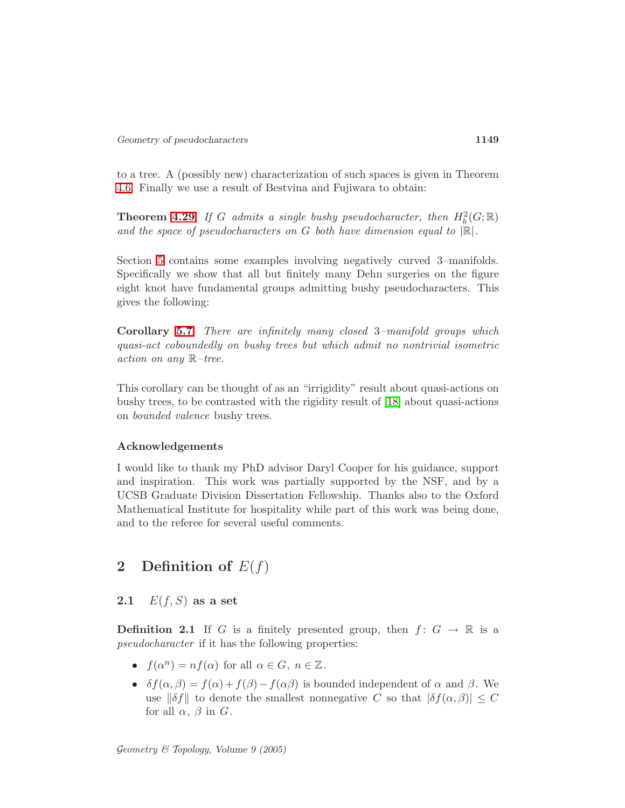to a tree. A (possibly new) characterization of such spaces is given in Theorem [4.6.](#page-17-0) Finally we use a result of Bestvina and Fujiwara to obtain:

**Theorem [4.29](#page-32-0)** If G admits a single bushy pseudocharacter, then  $H_b^2(G; \mathbb{R})$ and the space of pseudocharacters on G both have dimension equal to  $\mathbb{R}$ .

Section [5](#page-32-1) contains some examples involving negatively curved 3–manifolds. Specifically we show that all but finitely many Dehn surgeries on the figure eight knot have fundamental groups admitting bushy pseudocharacters. This gives the following:

Corollary [5.7](#page-37-3) There are infinitely many closed 3–manifold groups which quasi-act coboundedly on bushy trees but which admit no nontrivial isometric action on any R–tree.

This corollary can be thought of as an "irrigidity" result about quasi-actions on bushy trees, to be contrasted with the rigidity result of [\[18\]](#page-38-10) about quasi-actions on bounded valence bushy trees.

### Acknowledgements

I would like to thank my PhD advisor Daryl Cooper for his guidance, support and inspiration. This work was partially supported by the NSF, and by a UCSB Graduate Division Dissertation Fellowship. Thanks also to the Oxford Mathematical Institute for hospitality while part of this work was being done, and to the referee for several useful comments.

# <span id="page-2-0"></span>2 Definition of  $E(f)$

## 2.1  $E(f, S)$  as a set

**Definition 2.1** If G is a finitely presented group, then  $f: G \to \mathbb{R}$  is a pseudocharacter if it has the following properties:

- $f(\alpha^n) = nf(\alpha)$  for all  $\alpha \in G, n \in \mathbb{Z}$ .
- $\delta f(\alpha, \beta) = f(\alpha) + f(\beta) f(\alpha\beta)$  is bounded independent of  $\alpha$  and  $\beta$ . We use  $\|\delta f\|$  to denote the smallest nonnegative C so that  $|\delta f(\alpha,\beta)| \leq C$ for all  $\alpha$ ,  $\beta$  in  $G$ .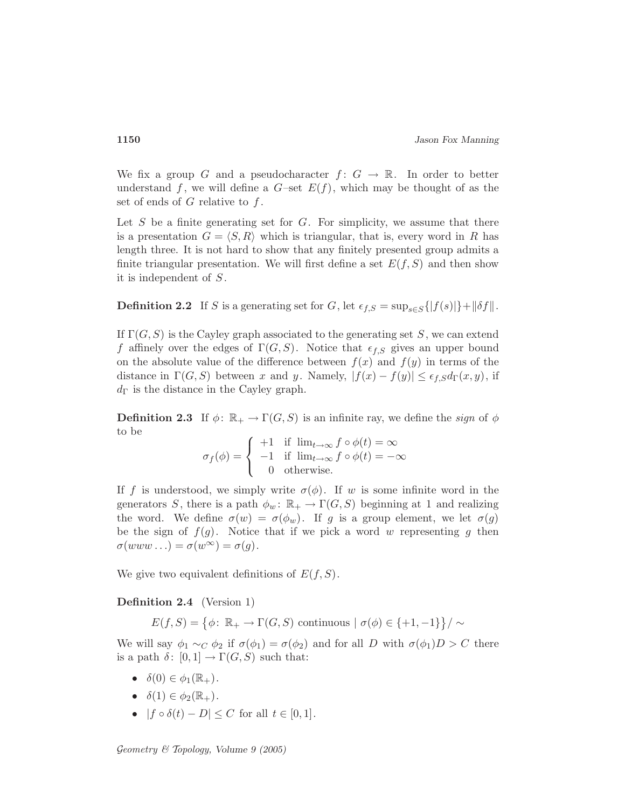We fix a group G and a pseudocharacter  $f: G \to \mathbb{R}$ . In order to better understand f, we will define a  $G$ -set  $E(f)$ , which may be thought of as the set of ends of  $G$  relative to  $f$ .

Let  $S$  be a finite generating set for  $G$ . For simplicity, we assume that there is a presentation  $G = \langle S, R \rangle$  which is triangular, that is, every word in R has length three. It is not hard to show that any finitely presented group admits a finite triangular presentation. We will first define a set  $E(f, S)$  and then show it is independent of S.

**Definition 2.2** If S is a generating set for G, let  $\epsilon_{f,S} = \sup_{s \in S} \{ |f(s)| \} + ||\delta f||$ .

If  $\Gamma(G, S)$  is the Cayley graph associated to the generating set S, we can extend f affinely over the edges of  $\Gamma(G, S)$ . Notice that  $\epsilon_{f,S}$  gives an upper bound on the absolute value of the difference between  $f(x)$  and  $f(y)$  in terms of the distance in  $\Gamma(G, S)$  between x and y. Namely,  $|f(x) - f(y)| \leq \epsilon_{f,S} d_{\Gamma}(x, y)$ , if  $d_{\Gamma}$  is the distance in the Cayley graph.

<span id="page-3-1"></span>**Definition 2.3** If  $\phi: \mathbb{R}_+ \to \Gamma(G, S)$  is an infinite ray, we define the *sign* of  $\phi$ to be

$$
\sigma_f(\phi) = \left\{ \begin{array}{rl} +1 & \text{if} \ \lim_{t\to\infty} f\circ\phi(t) = \infty \\ -1 & \text{if} \ \lim_{t\to\infty} f\circ\phi(t) = -\infty \\ 0 & \text{otherwise.} \end{array} \right.
$$

If f is understood, we simply write  $\sigma(\phi)$ . If w is some infinite word in the generators S, there is a path  $\phi_w : \mathbb{R}_+ \to \Gamma(G, S)$  beginning at 1 and realizing the word. We define  $\sigma(w) = \sigma(\phi_w)$ . If g is a group element, we let  $\sigma(g)$ be the sign of  $f(g)$ . Notice that if we pick a word w representing g then  $\sigma(www \dots) = \sigma(w^{\infty}) = \sigma(q).$ 

<span id="page-3-0"></span>We give two equivalent definitions of  $E(f, S)$ .

Definition 2.4 (Version 1)

 $E(f, S) = \{\phi \colon \mathbb{R}_+ \to \Gamma(G, S) \text{ continuous } | \sigma(\phi) \in \{+1, -1\} \}/\sim$ 

We will say  $\phi_1 \sim_C \phi_2$  if  $\sigma(\phi_1) = \sigma(\phi_2)$  and for all D with  $\sigma(\phi_1)D > C$  there is a path  $\delta$ :  $[0,1] \to \Gamma(G, S)$  such that:

- $\delta(0) \in \phi_1(\mathbb{R}_+).$
- $\delta(1) \in \phi_2(\mathbb{R}_+).$
- $|f \circ \delta(t) D| \leq C$  for all  $t \in [0, 1]$ .

Geometry & Topology, Volume 9 (2005)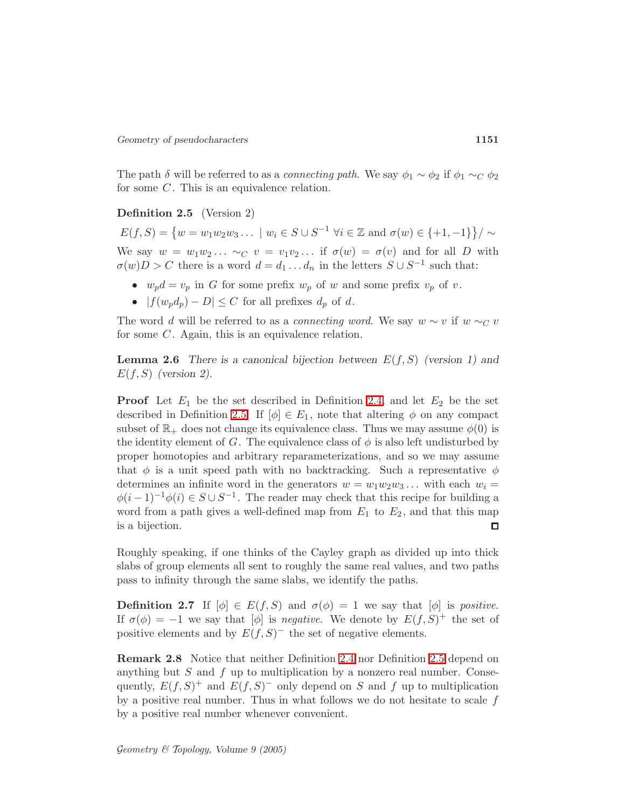<span id="page-4-0"></span>The path  $\delta$  will be referred to as a *connecting path*. We say  $\phi_1 \sim \phi_2$  if  $\phi_1 \sim_C \phi_2$ for some C. This is an equivalence relation.

Definition 2.5 (Version 2)

 $E(f, S) = \{w = w_1w_2w_3... | w_i \in S \cup S^{-1} \ \forall i \in \mathbb{Z} \text{ and } \sigma(w) \in \{+1, -1\}\}\)$ We say  $w = w_1w_2... \sim_C v = v_1v_2...$  if  $\sigma(w) = \sigma(v)$  and for all D with

 $\sigma(w)D > C$  there is a word  $d = d_1 \dots d_n$  in the letters  $S \cup S^{-1}$  such that:

- $w_p d = v_p$  in G for some prefix  $w_p$  of w and some prefix  $v_p$  of v.
- $|f(w_p d_p) D| \leq C$  for all prefixes  $d_p$  of d.

The word d will be referred to as a *connecting word*. We say  $w \sim v$  if  $w \sim_C v$ for some C. Again, this is an equivalence relation.

**Lemma 2.6** There is a canonical bijection between  $E(f, S)$  (version 1) and  $E(f, S)$  (version 2).

**Proof** Let  $E_1$  be the set described in Definition [2.4,](#page-3-0) and let  $E_2$  be the set described in Definition [2.5.](#page-4-0) If  $[\phi] \in E_1$ , note that altering  $\phi$  on any compact subset of  $\mathbb{R}_+$  does not change its equivalence class. Thus we may assume  $\phi(0)$  is the identity element of G. The equivalence class of  $\phi$  is also left undisturbed by proper homotopies and arbitrary reparameterizations, and so we may assume that  $\phi$  is a unit speed path with no backtracking. Such a representative  $\phi$ determines an infinite word in the generators  $w = w_1 w_2 w_3 \dots$  with each  $w_i =$  $\phi(i-1)^{-1}\phi(i) \in S \cup S^{-1}$ . The reader may check that this recipe for building a word from a path gives a well-defined map from  $E_1$  to  $E_2$ , and that this map is a bijection.  $\Box$ 

Roughly speaking, if one thinks of the Cayley graph as divided up into thick slabs of group elements all sent to roughly the same real values, and two paths pass to infinity through the same slabs, we identify the paths.

**Definition 2.7** If  $[\phi] \in E(f, S)$  and  $\sigma(\phi) = 1$  we say that  $[\phi]$  is *positive*. If  $\sigma(\phi) = -1$  we say that  $[\phi]$  is negative. We denote by  $E(f, S)^+$  the set of positive elements and by  $E(f, S)$ <sup>-</sup> the set of negative elements.

<span id="page-4-1"></span>Remark 2.8 Notice that neither Definition [2.4](#page-3-0) nor Definition [2.5](#page-4-0) depend on anything but  $S$  and  $f$  up to multiplication by a nonzero real number. Consequently,  $E(f, S)^+$  and  $E(f, S)^-$  only depend on S and f up to multiplication by a positive real number. Thus in what follows we do not hesitate to scale  $f$ by a positive real number whenever convenient.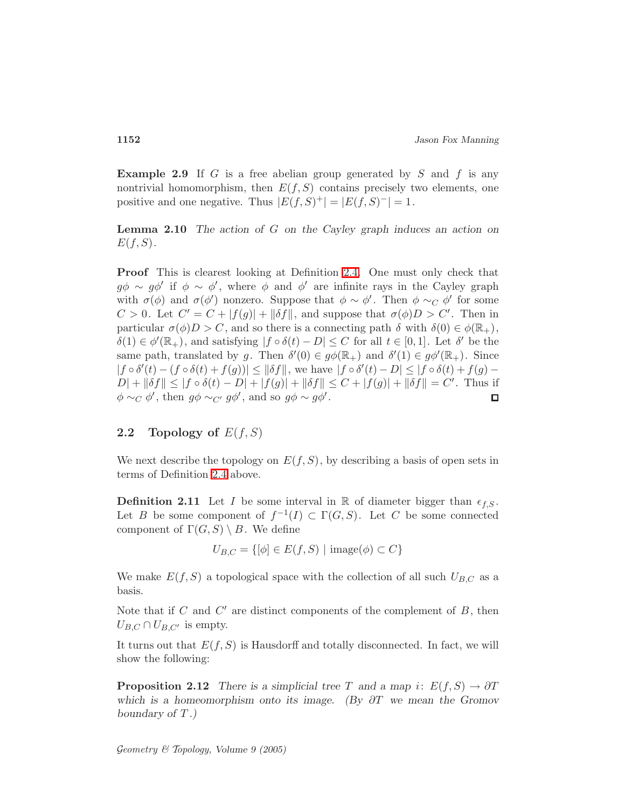**Example 2.9** If G is a free abelian group generated by S and f is any nontrivial homomorphism, then  $E(f, S)$  contains precisely two elements, one positive and one negative. Thus  $|E(f, S)^{+}| = |E(f, S)^{-}| = 1$ .

<span id="page-5-2"></span>**Lemma 2.10** The action of  $G$  on the Cayley graph induces an action on  $E(f, S)$ .

Proof This is clearest looking at Definition [2.4.](#page-3-0) One must only check that  $g\phi \sim g\phi'$  if  $\phi \sim \phi'$ , where  $\phi$  and  $\phi'$  are infinite rays in the Cayley graph with  $\sigma(\phi)$  and  $\sigma(\phi')$  nonzero. Suppose that  $\phi \sim \phi'$ . Then  $\phi \sim_C \phi'$  for some  $C > 0$ . Let  $C' = C + |f(g)| + ||\delta f||$ , and suppose that  $\sigma(\phi)D > C'$ . Then in particular  $\sigma(\phi)D > C$ , and so there is a connecting path  $\delta$  with  $\delta(0) \in \phi(\mathbb{R}_+),$  $\delta(1) \in \phi'(\mathbb{R}_+)$ , and satisfying  $|f \circ \delta(t) - D| \leq C$  for all  $t \in [0,1]$ . Let  $\delta'$  be the same path, translated by g. Then  $\delta'(0) \in g\phi(\mathbb{R}_+)$  and  $\delta'(1) \in g\phi'(\mathbb{R}_+)$ . Since  $|f \circ \delta'(t) - (f \circ \delta(t) + f(g))| \leq ||\delta f||$ , we have  $|f \circ \delta'(t) - D| \leq |f \circ \delta(t) + f(g) - D|$  $D$ | +  $\|\delta f\| \le |f \circ \delta(t) - D| + |f(g)| + \|\delta f\| \le C + |f(g)| + \|\delta f\| = C'$ . Thus if  $\phi \sim_C \phi'$ , then  $g\phi \sim_{C'} g\phi'$ , and so  $g\phi \sim g\phi'$ .  $\Box$ 

## <span id="page-5-3"></span>**2.2** Topology of  $E(f, S)$

<span id="page-5-1"></span>We next describe the topology on  $E(f, S)$ , by describing a basis of open sets in terms of Definition [2.4](#page-3-0) above.

**Definition 2.11** Let I be some interval in R of diameter bigger than  $\epsilon_{f,S}$ . Let B be some component of  $f^{-1}(I) \subset \Gamma(G, S)$ . Let C be some connected component of  $\Gamma(G, S) \setminus B$ . We define

$$
U_{B,C} = \{ [\phi] \in E(f, S) \mid \text{image}(\phi) \subset C \}
$$

We make  $E(f, S)$  a topological space with the collection of all such  $U_{B,C}$  as a basis.

Note that if  $C$  and  $C'$  are distinct components of the complement of  $B$ , then  $U_{B,C} \cap U_{B,C'}$  is empty.

<span id="page-5-0"></span>It turns out that  $E(f, S)$  is Hausdorff and totally disconnected. In fact, we will show the following:

**Proposition 2.12** There is a simplicial tree T and a map i:  $E(f, S) \rightarrow \partial T$ which is a homeomorphism onto its image. (By  $\partial T$  we mean the Gromov boundary of  $T$ .)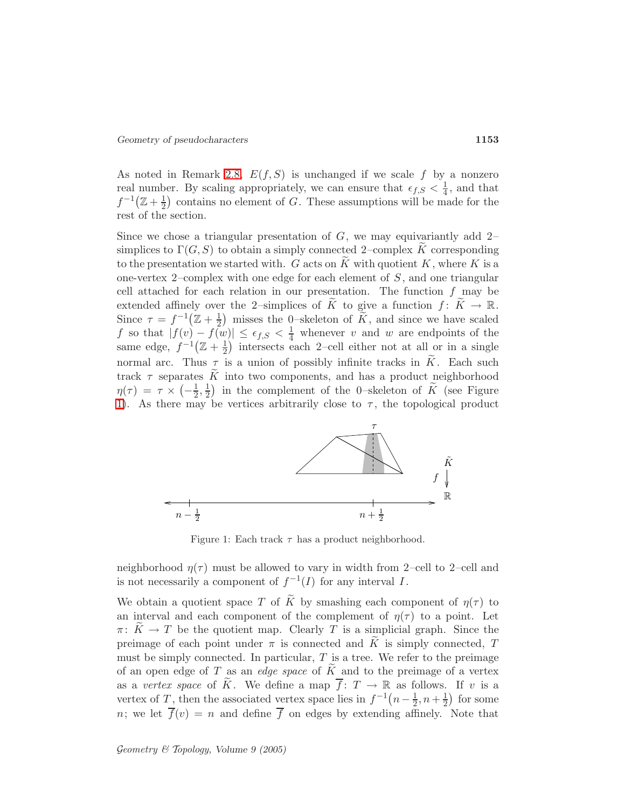As noted in Remark [2.8,](#page-4-1)  $E(f, S)$  is unchanged if we scale f by a nonzero real number. By scaling appropriately, we can ensure that  $\epsilon_{f,S} < \frac{1}{4}$ , and that  $f^{-1}(\mathbb{Z}+\frac{1}{2})$  contains no element of G. These assumptions will be made for the rest of the section.

Since we chose a triangular presentation of  $G$ , we may equivariantly add 2simplices to  $\Gamma(G, S)$  to obtain a simply connected 2–complex K corresponding to the presentation we started with.  $G$  acts on  $K$  with quotient  $K$ , where  $K$  is a one-vertex 2–complex with one edge for each element of  $S$ , and one triangular cell attached for each relation in our presentation. The function  $f$  may be extended affinely over the 2–simplices of K to give a function  $f: K \to \mathbb{R}$ . Since  $\tau = f^{-1}(\mathbb{Z} + \frac{1}{2})$  $\frac{1}{2}$ ) misses the 0-skeleton of  $\widetilde{K}$ , and since we have scaled f so that  $|f(v) - f(w)| \leq \epsilon_{f,S} < \frac{1}{4}$  whenever v and w are endpoints of the same edge,  $f^{-1}(\mathbb{Z}+\frac{1}{2})$  $\frac{1}{2}$ ) intersects each 2-cell either not at all or in a single normal arc. Thus  $\tau$  is a union of possibly infinite tracks in K. Each such track  $\tau$  separates  $\tilde{K}$  into two components, and has a product neighborhood  $\eta(\tau) = \tau \times \left(-\frac{1}{2}\right)$  $\frac{1}{2}, \frac{1}{2}$  $\frac{1}{2}$ ) in the complement of the 0-skeleton of  $\widetilde{K}$  (see Figure [1\)](#page-6-0). As there may be vertices arbitrarily close to  $\tau$ , the topological product



<span id="page-6-0"></span>Figure 1: Each track  $\tau$  has a product neighborhood.

neighborhood  $\eta(\tau)$  must be allowed to vary in width from 2–cell to 2–cell and is not necessarily a component of  $f^{-1}(I)$  for any interval I.

We obtain a quotient space T of  $\widetilde{K}$  by smashing each component of  $\eta(\tau)$  to an interval and each component of the complement of  $\eta(\tau)$  to a point. Let  $\pi: K \to T$  be the quotient map. Clearly T is a simplicial graph. Since the preimage of each point under  $\pi$  is connected and K is simply connected, T must be simply connected. In particular,  $T$  is a tree. We refer to the preimage of an open edge of T as an *edge space* of  $\tilde{K}$  and to the preimage of a vertex as a vertex space of  $\widetilde{K}$ . We define a map  $\overline{f}$ :  $T \to \mathbb{R}$  as follows. If v is a vertex of T, then the associated vertex space lies in  $f^{-1}(n-\frac{1}{2})$  $\frac{1}{2}, n+\frac{1}{2}$  $\frac{1}{2}$  for some n; we let  $\overline{f}(v) = n$  and define  $\overline{f}$  on edges by extending affinely. Note that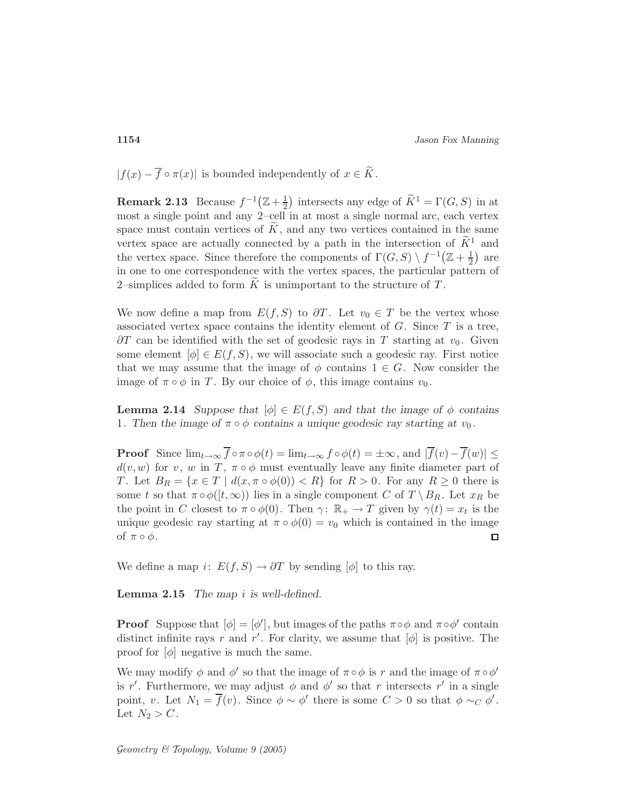<span id="page-7-0"></span> $|f(x) - \overline{f} \circ \pi(x)|$  is bounded independently of  $x \in \widetilde{K}$ .

**Remark 2.13** Because  $f^{-1}(\mathbb{Z}+\frac{1}{2})$  $\frac{1}{2}$ ) intersects any edge of  $\widetilde{K}^1 = \Gamma(G, S)$  in at most a single point and any 2–cell in at most a single normal arc, each vertex space must contain vertices of  $\tilde{K}$ , and any two vertices contained in the same vertex space are actually connected by a path in the intersection of  $K^1$  and the vertex space. Since therefore the components of  $\Gamma(G, S) \setminus f^{-1}(\mathbb{Z} + \frac{1}{2})$  are in one to one correspondence with the vertex spaces, the particular pattern of 2-simplices added to form  $K$  is unimportant to the structure of  $T$ .

We now define a map from  $E(f, S)$  to  $\partial T$ . Let  $v_0 \in T$  be the vertex whose associated vertex space contains the identity element of  $G$ . Since  $T$  is a tree,  $\partial T$  can be identified with the set of geodesic rays in T starting at  $v_0$ . Given some element  $[\phi] \in E(f, S)$ , we will associate such a geodesic ray. First notice that we may assume that the image of  $\phi$  contains  $1 \in G$ . Now consider the image of  $\pi \circ \phi$  in T. By our choice of  $\phi$ , this image contains  $v_0$ .

**Lemma 2.14** Suppose that  $[\phi] \in E(f, S)$  and that the image of  $\phi$  contains 1. Then the image of  $\pi \circ \phi$  contains a unique geodesic ray starting at  $v_0$ .

**Proof** Since  $\lim_{t\to\infty} \overline{f} \circ \pi \circ \phi(t) = \lim_{t\to\infty} f \circ \phi(t) = \pm \infty$ , and  $|\overline{f}(v) - \overline{f}(w)| \le$  $d(v, w)$  for v, w in T,  $\pi \circ \phi$  must eventually leave any finite diameter part of T. Let  $B_R = \{x \in T \mid d(x, \pi \circ \phi(0)) < R\}$  for  $R > 0$ . For any  $R \geq 0$  there is some t so that  $\pi \circ \phi([t,\infty))$  lies in a single component C of  $T \setminus B_R$ . Let  $x_R$  be the point in C closest to  $\pi \circ \phi(0)$ . Then  $\gamma: \mathbb{R}_+ \to T$  given by  $\gamma(t) = x_t$  is the unique geodesic ray starting at  $\pi \circ \phi(0) = v_0$  which is contained in the image of  $\pi \circ \phi$ .  $\Box$ 

We define a map *i*:  $E(f, S) \rightarrow \partial T$  by sending  $[\phi]$  to this ray.

**Lemma 2.15** The map  $i$  is well-defined.

**Proof** Suppose that  $[\phi] = [\phi'],$  but images of the paths  $\pi \circ \phi$  and  $\pi \circ \phi'$  contain distinct infinite rays r and r'. For clarity, we assume that  $[\phi]$  is positive. The proof for  $[\phi]$  negative is much the same.

We may modify  $\phi$  and  $\phi'$  so that the image of  $\pi \circ \phi$  is r and the image of  $\pi \circ \phi'$ is r'. Furthermore, we may adjust  $\phi$  and  $\phi'$  so that r intersects r' in a single point, v. Let  $N_1 = \overline{f}(v)$ . Since  $\phi \sim \phi'$  there is some  $C > 0$  so that  $\phi \sim_C \phi'$ . Let  $N_2 > C$ .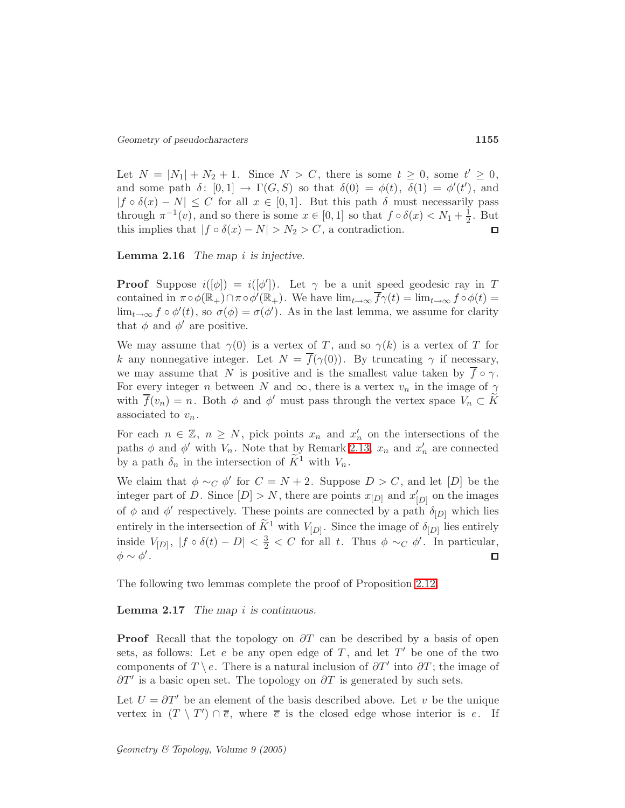Let  $N = |N_1| + N_2 + 1$ . Since  $N > C$ , there is some  $t \geq 0$ , some  $t' \geq 0$ , and some path  $\delta$ :  $[0,1] \to \Gamma(G, S)$  so that  $\delta(0) = \phi(t)$ ,  $\delta(1) = \phi'(t')$ , and  $|f \circ \delta(x) - N| \leq C$  for all  $x \in [0, 1]$ . But this path  $\delta$  must necessarily pass through  $\pi^{-1}(v)$ , and so there is some  $x \in [0,1]$  so that  $f \circ \delta(x) < N_1 + \frac{1}{2}$  $\frac{1}{2}$ . But this implies that  $|f \circ \delta(x) - N| > N_2 > C$ , a contradiction.  $\Box$ 

**Lemma 2.16** The map  $i$  is injective.

**Proof** Suppose  $i([\phi]) = i([\phi'])$ . Let  $\gamma$  be a unit speed geodesic ray in T contained in  $\pi \circ \phi(\mathbb{R}_+) \cap \pi \circ \phi'(\mathbb{R}_+)$ . We have  $\lim_{t \to \infty} \overline{f}\gamma(t) = \lim_{t \to \infty} f \circ \phi(t) =$  $\lim_{t\to\infty} f\circ\phi'(t)$ , so  $\sigma(\phi) = \sigma(\phi')$ . As in the last lemma, we assume for clarity that  $\phi$  and  $\phi'$  are positive.

We may assume that  $\gamma(0)$  is a vertex of T, and so  $\gamma(k)$  is a vertex of T for k any nonnegative integer. Let  $N = \overline{f}(\gamma(0))$ . By truncating  $\gamma$  if necessary, we may assume that N is positive and is the smallest value taken by  $\overline{f} \circ \gamma$ . For every integer n between N and  $\infty$ , there is a vertex  $v_n$  in the image of  $\gamma$ with  $\overline{f}(v_n) = n$ . Both  $\phi$  and  $\phi'$  must pass through the vertex space  $V_n \subset K$ associated to  $v_n$ .

For each  $n \in \mathbb{Z}$ ,  $n \geq N$ , pick points  $x_n$  and  $x'_n$  on the intersections of the paths  $\phi$  and  $\phi'$  with  $V_n$ . Note that by Remark [2.13,](#page-7-0)  $x_n$  and  $x'_n$  are connected by a path  $\delta_n$  in the intersection of  $\widetilde{K}^1$  with  $V_n$ .

We claim that  $\phi \sim_C \phi'$  for  $C = N + 2$ . Suppose  $D > C$ , and let  $[D]$  be the integer part of D. Since  $[D] > N$ , there are points  $x_{[D]}$  and  $x'_{[D]}$  on the images of  $\phi$  and  $\phi'$  respectively. These points are connected by a path  $\delta_{[D]}$  which lies entirely in the intersection of  $\tilde{K}^1$  with  $V_{[D]}$ . Since the image of  $\delta_{[D]}$  lies entirely inside  $V_{[D]}, |f \circ \delta(t) - D| < \frac{3}{2} < C$  for all t. Thus  $\phi \sim_C \phi'$ . In particular,  $\phi \sim \phi'$ .  $\Box$ 

The following two lemmas complete the proof of Proposition [2.12.](#page-5-0)

**Lemma 2.17** The map  $i$  is continuous.

**Proof** Recall that the topology on  $\partial T$  can be described by a basis of open sets, as follows: Let  $e$  be any open edge of  $T$ , and let  $T'$  be one of the two components of  $T \setminus e$ . There is a natural inclusion of  $\partial T'$  into  $\partial T$ ; the image of  $\partial T'$  is a basic open set. The topology on  $\partial T$  is generated by such sets.

Let  $U = \partial T'$  be an element of the basis described above. Let v be the unique vertex in  $(T \setminus T') \cap \overline{e}$ , where  $\overline{e}$  is the closed edge whose interior is e. If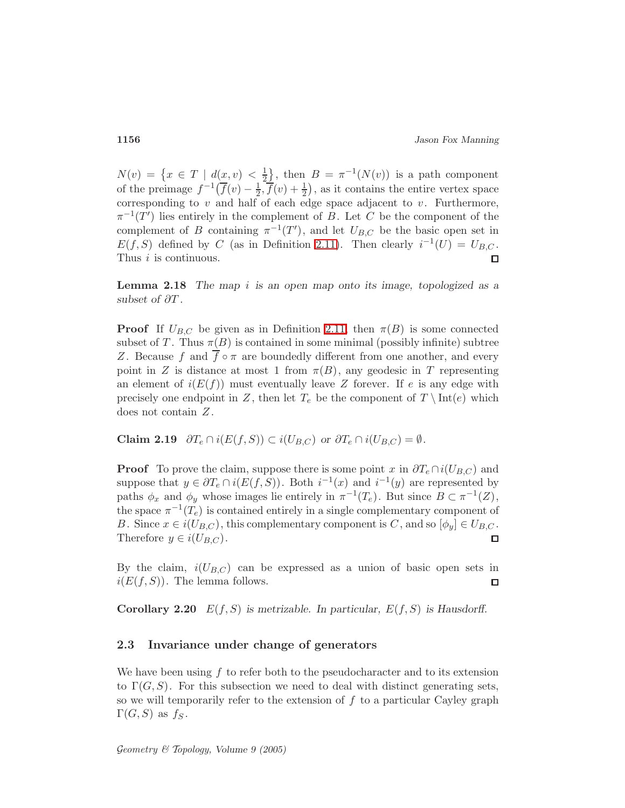$N(v) = \{x \in T \mid d(x, v) < \frac{1}{2}\}$  $\frac{1}{2}$ , then  $B = \pi^{-1}(N(v))$  is a path component of the preimage  $f^{-1}(\overline{f}(v) - \frac{1}{2})$  $\frac{1}{2}$ ,  $\overline{f}(v) + \frac{1}{2}$ , as it contains the entire vertex space corresponding to  $v$  and half of each edge space adjacent to  $v$ . Furthermore,  $\pi^{-1}(T')$  lies entirely in the complement of B. Let C be the component of the complement of B containing  $\pi^{-1}(T')$ , and let  $U_{B,C}$  be the basic open set in  $E(f, S)$  defined by C (as in Definition [2.11\)](#page-5-1). Then clearly  $i^{-1}(U) = U_{B,C}$ . Thus *i* is continuous.  $\Box$ 

**Lemma 2.18** The map  $i$  is an open map onto its image, topologized as a subset of  $\partial T$ .

**Proof** If  $U_{B,C}$  be given as in Definition [2.11,](#page-5-1) then  $\pi(B)$  is some connected subset of T. Thus  $\pi(B)$  is contained in some minimal (possibly infinite) subtree Z. Because f and  $f \circ \pi$  are boundedly different from one another, and every point in Z is distance at most 1 from  $\pi(B)$ , any geodesic in T representing an element of  $i(E(f))$  must eventually leave Z forever. If e is any edge with precisely one endpoint in Z, then let  $T_e$  be the component of  $T \setminus \text{Int}(e)$  which does not contain Z.

Claim 2.19  $\partial T_e \cap i(E(f, S)) \subset i(U_{B,C})$  or  $\partial T_e \cap i(U_{B,C}) = \emptyset$ .

**Proof** To prove the claim, suppose there is some point x in  $\partial T_e \cap i(U_{B,C})$  and suppose that  $y \in \partial T_e \cap i(E(f, S))$ . Both  $i^{-1}(x)$  and  $i^{-1}(y)$  are represented by paths  $\phi_x$  and  $\phi_y$  whose images lie entirely in  $\pi^{-1}(T_e)$ . But since  $B \subset \pi^{-1}(Z)$ , the space  $\pi^{-1}(T_e)$  is contained entirely in a single complementary component of B. Since  $x \in i(U_{B,C})$ , this complementary component is C, and so  $[\phi_y] \in U_{B,C}$ . Therefore  $y \in i(U_{B,C})$ .  $\Box$ 

By the claim,  $i(U_{B,C})$  can be expressed as a union of basic open sets in  $i(E(f, S))$ . The lemma follows.  $\Box$ 

**Corollary 2.20**  $E(f, S)$  is metrizable. In particular,  $E(f, S)$  is Hausdorff.

## 2.3 Invariance under change of generators

We have been using  $f$  to refer both to the pseudocharacter and to its extension to  $\Gamma(G, S)$ . For this subsection we need to deal with distinct generating sets, so we will temporarily refer to the extension of  $f$  to a particular Cayley graph  $\Gamma(G, S)$  as  $f_S$ .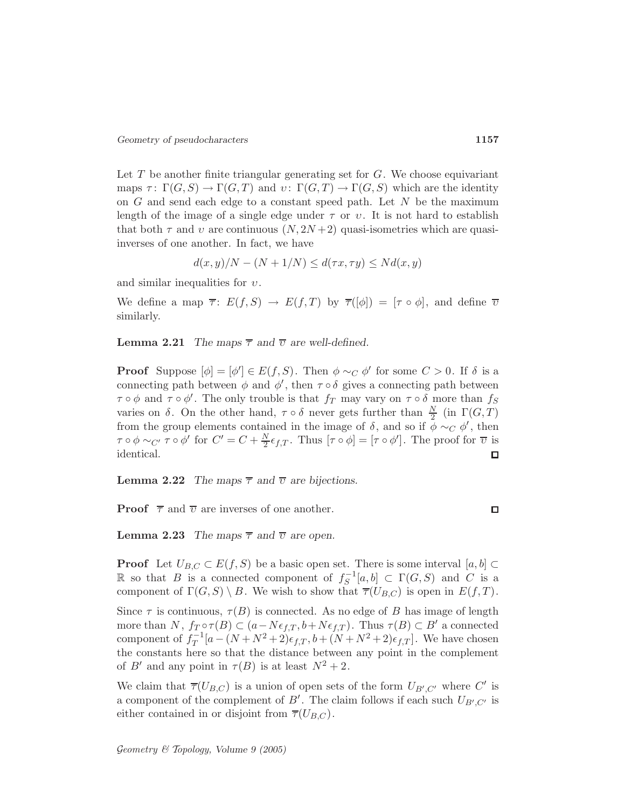Let  $T$  be another finite triangular generating set for  $G$ . We choose equivariant maps  $\tau: \Gamma(G, S) \to \Gamma(G, T)$  and  $\upsilon: \Gamma(G, T) \to \Gamma(G, S)$  which are the identity on  $G$  and send each edge to a constant speed path. Let  $N$  be the maximum length of the image of a single edge under  $\tau$  or  $v$ . It is not hard to establish that both  $\tau$  and  $\upsilon$  are continuous  $(N, 2N + 2)$  quasi-isometries which are quasiinverses of one another. In fact, we have

$$
d(x,y)/N - (N+1/N) \leq d(\tau x, \tau y) \leq N d(x,y)
$$

and similar inequalities for  $v$ .

We define a map  $\overline{\tau}$ :  $E(f, S) \rightarrow E(f, T)$  by  $\overline{\tau}([\phi]) = [\tau \circ \phi]$ , and define  $\overline{\upsilon}$ similarly.

**Lemma 2.21** The maps  $\overline{\tau}$  and  $\overline{\upsilon}$  are well-defined.

**Proof** Suppose  $[\phi] = [\phi'] \in E(f, S)$ . Then  $\phi \sim_C \phi'$  for some  $C > 0$ . If  $\delta$  is a connecting path between  $\phi$  and  $\phi'$ , then  $\tau \circ \delta$  gives a connecting path between  $\tau \circ \phi$  and  $\tau \circ \phi'$ . The only trouble is that  $f_T$  may vary on  $\tau \circ \delta$  more than  $f_S$ varies on  $\delta$ . On the other hand,  $\tau \circ \delta$  never gets further than  $\frac{N}{2}$  (in  $\Gamma(G, T)$ ) from the group elements contained in the image of  $\delta$ , and so if  $\phi \sim_C \phi'$ , then  $\tau \circ \phi \sim_{C'} \tau \circ \phi'$  for  $C' = C + \frac{N}{2}$  $\frac{N}{2} \epsilon_{f,T}$ . Thus  $[\tau \circ \phi] = [\tau \circ \phi']$ . The proof for  $\overline{\upsilon}$  is identical.  $\Box$ 

**Lemma 2.22** The maps  $\overline{\tau}$  and  $\overline{\upsilon}$  are bijections.

**Proof**  $\bar{\tau}$  and  $\bar{v}$  are inverses of one another.

$$
\Box
$$

**Lemma 2.23** The maps  $\overline{\tau}$  and  $\overline{v}$  are open.

**Proof** Let  $U_{B,C} \subset E(f, S)$  be a basic open set. There is some interval  $[a, b] \subset$ R so that B is a connected component of  $f_S^{-1}[a,b] \subset \Gamma(G,S)$  and C is a component of  $\Gamma(G, S) \setminus B$ . We wish to show that  $\overline{\tau}(U_{B,C})$  is open in  $E(f,T)$ .

Since  $\tau$  is continuous,  $\tau(B)$  is connected. As no edge of B has image of length more than  $N$ ,  $f_T \circ \tau(B) \subset (a - N\epsilon_{f,T}, b + N\epsilon_{f,T})$ . Thus  $\tau(B) \subset B'$  a connected component of  $f_T^{-1}[a - (N + N^2 + 2)\epsilon_{f,T}, b + (N + N^2 + 2)\epsilon_{f,T}]$ . We have chosen the constants here so that the distance between any point in the complement of B' and any point in  $\tau(B)$  is at least  $N^2 + 2$ .

We claim that  $\overline{\tau}(U_{B,C})$  is a union of open sets of the form  $U_{B',C'}$  where C' is a component of the complement of B'. The claim follows if each such  $U_{B',C'}$  is either contained in or disjoint from  $\overline{\tau}(U_{B,C})$ .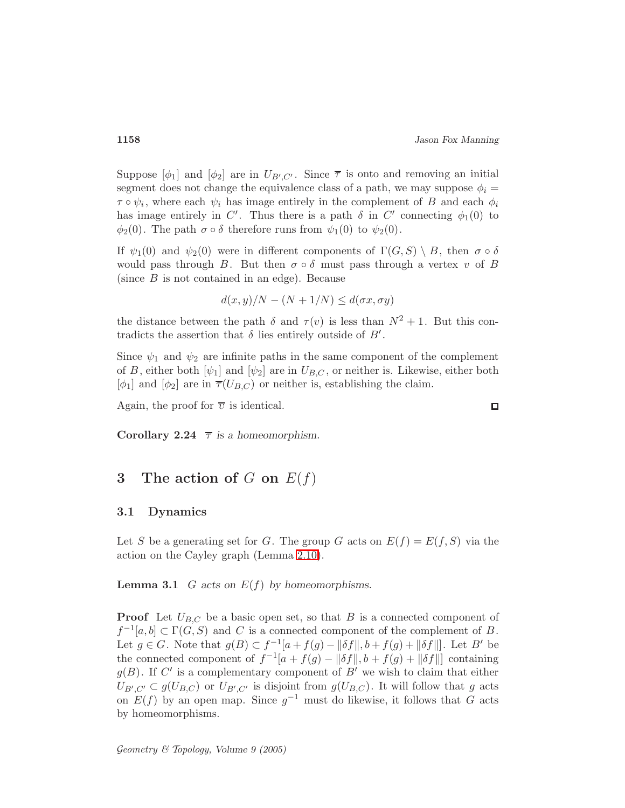Suppose  $[\phi_1]$  and  $[\phi_2]$  are in  $U_{B',C'}$ . Since  $\overline{\tau}$  is onto and removing an initial segment does not change the equivalence class of a path, we may suppose  $\phi_i =$  $\tau \circ \psi_i$ , where each  $\psi_i$  has image entirely in the complement of B and each  $\phi_i$ has image entirely in C'. Thus there is a path  $\delta$  in C' connecting  $\phi_1(0)$  to  $\phi_2(0)$ . The path  $\sigma \circ \delta$  therefore runs from  $\psi_1(0)$  to  $\psi_2(0)$ .

If  $\psi_1(0)$  and  $\psi_2(0)$  were in different components of  $\Gamma(G, S) \setminus B$ , then  $\sigma \circ \delta$ would pass through B. But then  $\sigma \circ \delta$  must pass through a vertex v of B (since B is not contained in an edge). Because

$$
d(x,y)/N - (N+1/N) \leq d(\sigma x, \sigma y)
$$

the distance between the path  $\delta$  and  $\tau(v)$  is less than  $N^2 + 1$ . But this contradicts the assertion that  $\delta$  lies entirely outside of  $B'$ .

Since  $\psi_1$  and  $\psi_2$  are infinite paths in the same component of the complement of B, either both  $[\psi_1]$  and  $[\psi_2]$  are in  $U_{B,C}$ , or neither is. Likewise, either both  $[\phi_1]$  and  $[\phi_2]$  are in  $\overline{\tau}(U_{B,C})$  or neither is, establishing the claim.

<span id="page-11-1"></span>Again, the proof for  $\overline{v}$  is identical.

<span id="page-11-0"></span>Corollary 2.24  $\overline{\tau}$  is a homeomorphism.

## 3 The action of G on  $E(f)$

## 3.1 Dynamics

Let S be a generating set for G. The group G acts on  $E(f) = E(f, S)$  via the action on the Cayley graph (Lemma [2.10\)](#page-5-2).

**Lemma 3.1** G acts on  $E(f)$  by homeomorphisms.

**Proof** Let  $U_{B,C}$  be a basic open set, so that B is a connected component of  $f^{-1}[a,b] \subset \Gamma(G, S)$  and C is a connected component of the complement of B. Let  $g \in G$ . Note that  $g(B) \subset f^{-1}[a+f(g)-\|\delta f\|, b+f(g)+\|\delta f\|]$ . Let B' be the connected component of  $f^{-1}[a + f(g) - ||\delta f||, b + f(g) + ||\delta f||]$  containing  $g(B)$ . If C' is a complementary component of B' we wish to claim that either  $U_{B',C'} \subset g(U_{B,C})$  or  $U_{B',C'}$  is disjoint from  $g(U_{B,C})$ . It will follow that g acts on  $E(f)$  by an open map. Since  $g^{-1}$  must do likewise, it follows that G acts by homeomorphisms.

 $\Box$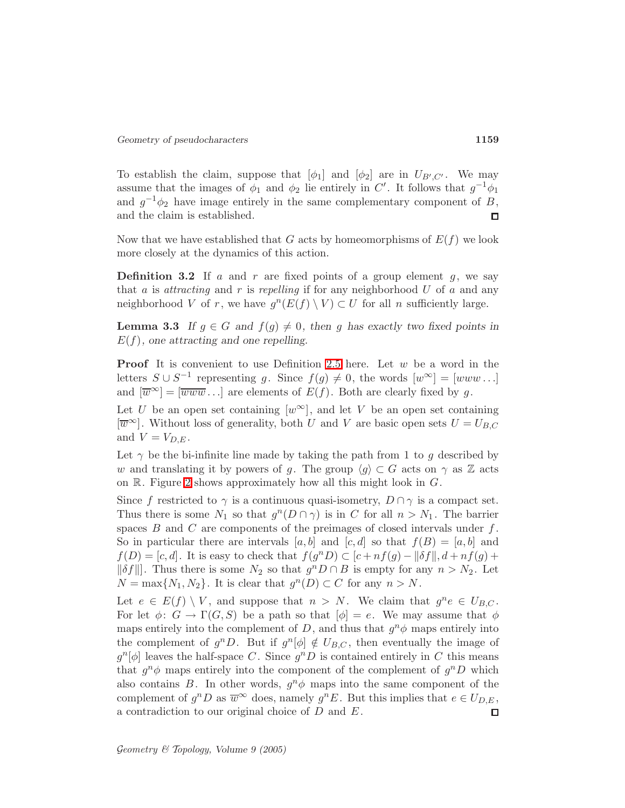To establish the claim, suppose that  $[\phi_1]$  and  $[\phi_2]$  are in  $U_{B',C'}$ . We may assume that the images of  $\phi_1$  and  $\phi_2$  lie entirely in C'. It follows that  $g^{-1}\phi_1$ and  $g^{-1}\phi_2$  have image entirely in the same complementary component of B, and the claim is established.  $\Box$ 

Now that we have established that G acts by homeomorphisms of  $E(f)$  we look more closely at the dynamics of this action.

**Definition 3.2** If a and r are fixed points of a group element  $q$ , we say that a is attracting and r is repelling if for any neighborhood  $U$  of a and any neighborhood V of r, we have  $g^{n}(E(f) \setminus V) \subset U$  for all n sufficiently large.

<span id="page-12-0"></span>**Lemma 3.3** If  $g \in G$  and  $f(g) \neq 0$ , then g has exactly two fixed points in  $E(f)$ , one attracting and one repelling.

**Proof** It is convenient to use Definition [2.5](#page-4-0) here. Let  $w$  be a word in the letters  $S \cup S^{-1}$  representing g. Since  $f(g) \neq 0$ , the words  $[w^{\infty}] = [www \dots]$ and  $[\overline{w}^{\infty}] = [\overline{www} \dots]$  are elements of  $E(f)$ . Both are clearly fixed by g.

Let U be an open set containing  $[w^{\infty}]$ , and let V be an open set containing  $[\overline{w}^{\infty}]$ . Without loss of generality, both U and V are basic open sets  $U = U_{B,C}$ and  $V = V_{D,E}$ .

Let  $\gamma$  be the bi-infinite line made by taking the path from 1 to g described by w and translating it by powers of g. The group  $\langle q \rangle \subset G$  acts on  $\gamma$  as Z acts on  $\mathbb R$ . Figure [2](#page-13-0) shows approximately how all this might look in  $G$ .

Since f restricted to  $\gamma$  is a continuous quasi-isometry,  $D \cap \gamma$  is a compact set. Thus there is some  $N_1$  so that  $g^n(D \cap \gamma)$  is in C for all  $n > N_1$ . The barrier spaces  $B$  and  $C$  are components of the preimages of closed intervals under  $f$ . So in particular there are intervals  $[a,b]$  and  $[c,d]$  so that  $f(B) = [a,b]$  and  $f(D) = [c, d]$ . It is easy to check that  $f(g^n D) \subset [c + nf(g) - ||\delta f||, d + nf(g) +$  $\|\delta f\|$ . Thus there is some  $N_2$  so that  $g^n D \cap B$  is empty for any  $n > N_2$ . Let  $N = \max\{N_1, N_2\}$ . It is clear that  $g^n(D) \subset C$  for any  $n > N$ .

Let  $e \in E(f) \setminus V$ , and suppose that  $n > N$ . We claim that  $g^n e \in U_{B,C}$ . For let  $\phi: G \to \Gamma(G, S)$  be a path so that  $[\phi] = e$ . We may assume that  $\phi$ maps entirely into the complement of D, and thus that  $g^n \phi$  maps entirely into the complement of  $g^n D$ . But if  $g^n[\phi] \notin U_{B,C}$ , then eventually the image of  $g^n[\phi]$  leaves the half-space C. Since  $g^nD$  is contained entirely in C this means that  $g^n \phi$  maps entirely into the component of the complement of  $g^n D$  which also contains B. In other words,  $g^n \phi$  maps into the same component of the complement of  $g^n D$  as  $\overline{w}^{\infty}$  does, namely  $g^n E$ . But this implies that  $e \in U_{D,E}$ , a contradiction to our original choice of  $D$  and  $E$ .  $\Box$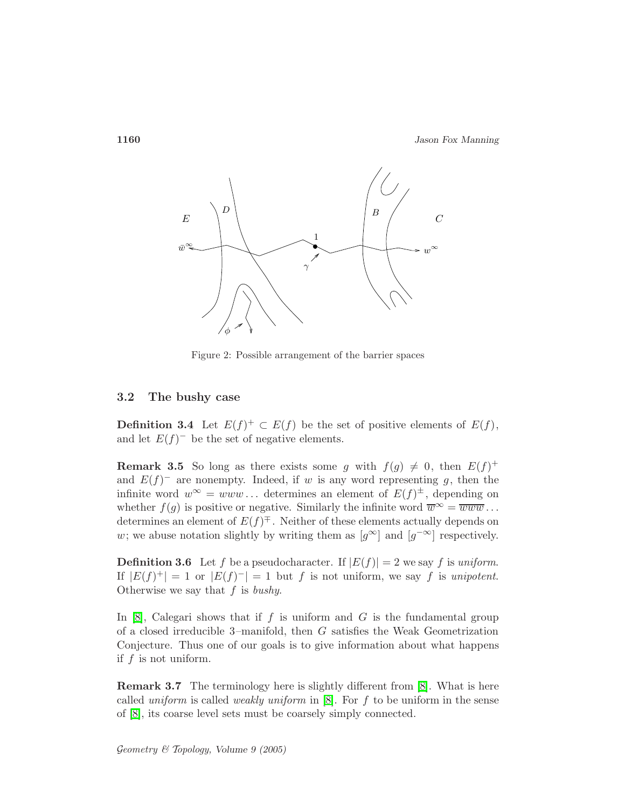

<span id="page-13-0"></span>Figure 2: Possible arrangement of the barrier spaces

### 3.2 The bushy case

**Definition 3.4** Let  $E(f)^+ \subset E(f)$  be the set of positive elements of  $E(f)$ , and let  $E(f)^-$  be the set of negative elements.

<span id="page-13-1"></span>**Remark 3.5** So long as there exists some g with  $f(g) \neq 0$ , then  $E(f)^+$ and  $E(f)$ <sup>-</sup> are nonempty. Indeed, if w is any word representing g, then the infinite word  $w^{\infty} = www...$  determines an element of  $E(f)^{\pm}$ , depending on whether  $f(g)$  is positive or negative. Similarly the infinite word  $\overline{w}^{\infty} = \overline{www} \dots$ determines an element of  $E(f)^{\pm}$ . Neither of these elements actually depends on w; we abuse notation slightly by writing them as  $[g^{\infty}]$  and  $[g^{-\infty}]$  respectively.

**Definition 3.6** Let f be a pseudocharacter. If  $|E(f)| = 2$  we say f is uniform. If  $|E(f)^{+}| = 1$  or  $|E(f)^{-}| = 1$  but f is not uniform, we say f is unipotent. Otherwise we say that f is bushy.

In  $[8]$ , Calegari shows that if f is uniform and G is the fundamental group of a closed irreducible 3–manifold, then G satisfies the Weak Geometrization Conjecture. Thus one of our goals is to give information about what happens if  $f$  is not uniform.

Remark 3.7 The terminology here is slightly different from [\[8\]](#page-38-6). What is here called *uniform* is called *weakly uniform* in  $[8]$ . For f to be uniform in the sense of [\[8\]](#page-38-6), its coarse level sets must be coarsely simply connected.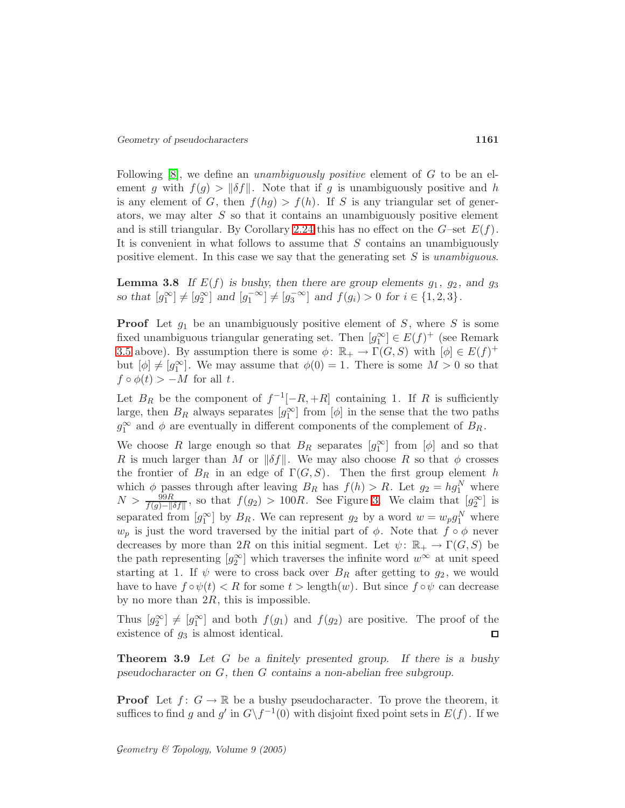Following  $[8]$ , we define an *unambiguously positive* element of  $G$  to be an element g with  $f(g) > \|\delta f\|$ . Note that if g is unambiguously positive and h is any element of G, then  $f(hg) > f(h)$ . If S is any triangular set of generators, we may alter S so that it contains an unambiguously positive element and is still triangular. By Corollary [2.24](#page-11-1) this has no effect on the  $G$ -set  $E(f)$ . It is convenient in what follows to assume that  $S$  contains an unambiguously positive element. In this case we say that the generating set S is unambiguous.

<span id="page-14-0"></span>**Lemma 3.8** If  $E(f)$  is bushy, then there are group elements  $g_1$ ,  $g_2$ , and  $g_3$ so that  $[g_1^{\infty}] \neq [g_2^{\infty}]$  and  $[g_1^{-\infty}] \neq [g_3^{-\infty}]$  and  $f(g_i) > 0$  for  $i \in \{1, 2, 3\}$ .

**Proof** Let  $g_1$  be an unambiguously positive element of S, where S is some fixed unambiguous triangular generating set. Then  $[g_1^{\infty}] \in E(f)^+$  (see Remark [3.5](#page-13-1) above). By assumption there is some  $\phi: \mathbb{R}_+ \to \Gamma(G, S)$  with  $[\phi] \in E(f)^+$ but  $[\phi] \neq [g_1^{\infty}]$ . We may assume that  $\phi(0) = 1$ . There is some  $M > 0$  so that  $f \circ \phi(t) > -M$  for all t.

Let  $B_R$  be the component of  $f^{-1}[-R, +R]$  containing 1. If R is sufficiently large, then  $B_R$  always separates  $[g_1^{\infty}]$  from  $[\phi]$  in the sense that the two paths  $g_1^{\infty}$  and  $\phi$  are eventually in different components of the complement of  $B_R$ .

We choose R large enough so that  $B_R$  separates  $[g_1^{\infty}]$  from  $[\phi]$  and so that R is much larger than M or  $\|\delta f\|$ . We may also choose R so that  $\phi$  crosses the frontier of  $B_R$  in an edge of  $\Gamma(G, S)$ . Then the first group element h which  $\phi$  passes through after leaving  $B_R$  has  $f(h) > R$ . Let  $g_2 = hg_1^N$  where  $N > \frac{99R}{f(g)-\|\delta f\|}$ , so that  $f(g_2) > 100R$ . See Figure [3.](#page-15-1) We claim that  $[g_2^{\infty}]$  is separated from  $[g_1^{\infty}]$  by  $B_R$ . We can represent  $g_2$  by a word  $w = w_p g_1^N$  where  $w_p$  is just the word traversed by the initial part of  $\phi$ . Note that  $f \circ \phi$  never decreases by more than 2R on this initial segment. Let  $\psi: \mathbb{R}_+ \to \Gamma(G, S)$  be the path representing  $[g_2^{\infty}]$  which traverses the infinite word  $w^{\infty}$  at unit speed starting at 1. If  $\psi$  were to cross back over  $B_R$  after getting to  $g_2$ , we would have to have  $f \circ \psi(t) < R$  for some  $t > \text{length}(w)$ . But since  $f \circ \psi$  can decrease by no more than  $2R$ , this is impossible.

Thus  $[g_2^{\infty}] \neq [g_1^{\infty}]$  and both  $f(g_1)$  and  $f(g_2)$  are positive. The proof of the existence of  $g_3$  is almost identical.  $\Box$ 

<span id="page-14-1"></span>**Theorem 3.9** Let G be a finitely presented group. If there is a bushy pseudocharacter on G, then G contains a non-abelian free subgroup.

**Proof** Let  $f: G \to \mathbb{R}$  be a bushy pseudocharacter. To prove the theorem, it suffices to find g and g' in  $G \backslash f^{-1}(0)$  with disjoint fixed point sets in  $E(f)$ . If we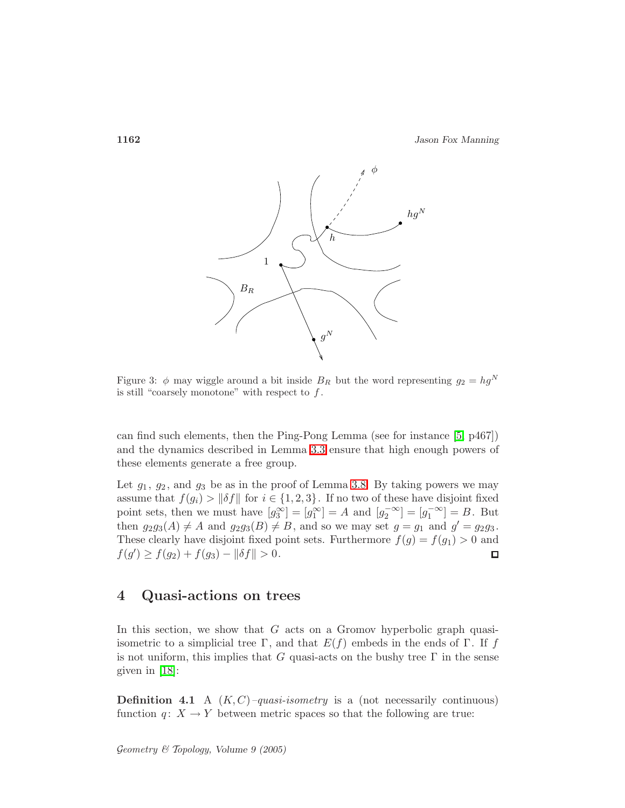

<span id="page-15-1"></span>Figure 3:  $\phi$  may wiggle around a bit inside  $B_R$  but the word representing  $g_2 = hg^N$ is still "coarsely monotone" with respect to  $f$ .

can find such elements, then the Ping-Pong Lemma (see for instance [\[5,](#page-37-4) p467]) and the dynamics described in Lemma [3.3](#page-12-0) ensure that high enough powers of these elements generate a free group.

Let  $g_1, g_2$ , and  $g_3$  be as in the proof of Lemma [3.8.](#page-14-0) By taking powers we may assume that  $f(g_i) > \|\delta f\|$  for  $i \in \{1, 2, 3\}$ . If no two of these have disjoint fixed point sets, then we must have  $[g_3^{\infty}] = [g_1^{\infty}] = A$  and  $[g_2^{-\infty}] = [g_1^{-\infty}] = B$ . But then  $g_2g_3(A) \neq A$  and  $g_2g_3(B) \neq B$ , and so we may set  $g = g_1$  and  $g' = g_2g_3$ . These clearly have disjoint fixed point sets. Furthermore  $f(g) = f(g_1) > 0$  and  $f(g') \ge f(g_2) + f(g_3) - ||\delta f|| > 0.$  $\Box$ 

## <span id="page-15-0"></span>4 Quasi-actions on trees

In this section, we show that  $G$  acts on a Gromov hyperbolic graph quasiisometric to a simplicial tree Γ, and that  $E(f)$  embeds in the ends of Γ. If f is not uniform, this implies that G quasi-acts on the bushy tree  $\Gamma$  in the sense given in [\[18\]](#page-38-10):

**Definition 4.1** A  $(K, C)$ –quasi-isometry is a (not necessarily continuous) function  $q: X \to Y$  between metric spaces so that the following are true: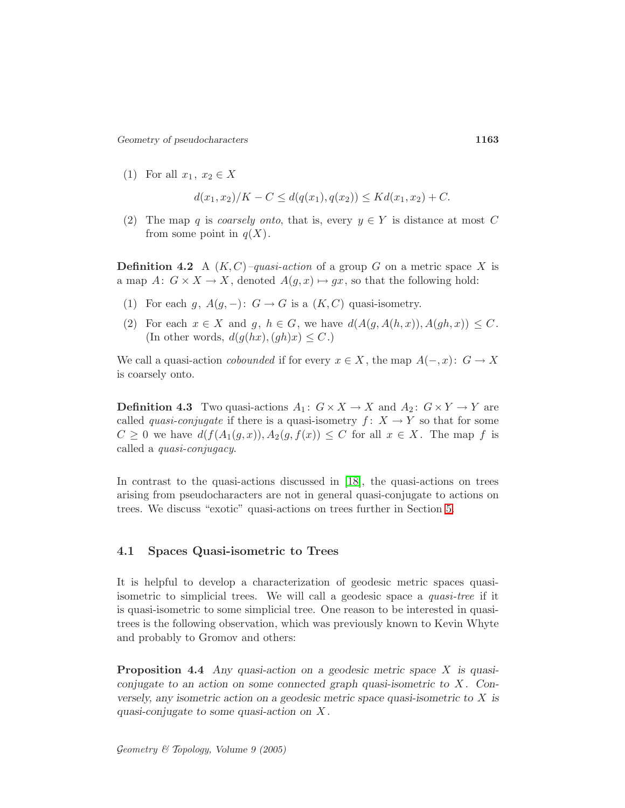Geometry of pseudocharacters 1163

(1) For all  $x_1, x_2 \in X$ 

$$
d(x_1, x_2)/K - C \le d(q(x_1), q(x_2)) \le Kd(x_1, x_2) + C.
$$

(2) The map q is coarsely onto, that is, every  $y \in Y$  is distance at most C from some point in  $q(X)$ .

**Definition 4.2** A  $(K, C)$ –quasi-action of a group G on a metric space X is a map  $A: G \times X \to X$ , denoted  $A(g, x) \mapsto gx$ , so that the following hold:

- (1) For each g,  $A(g, -): G \to G$  is a  $(K, C)$  quasi-isometry.
- (2) For each  $x \in X$  and  $g, h \in G$ , we have  $d(A(g, A(h,x)), A(gh,x)) \leq C$ . (In other words,  $d(g(hx),(gh)x) \leq C.$ )

We call a quasi-action *cobounded* if for every  $x \in X$ , the map  $A(-,x) \colon G \to X$ is coarsely onto.

**Definition 4.3** Two quasi-actions  $A_1: G \times X \to X$  and  $A_2: G \times Y \to Y$  are called *quasi-conjugate* if there is a quasi-isometry  $f: X \to Y$  so that for some  $C \geq 0$  we have  $d(f(A_1(g,x)), A_2(g, f(x))) \leq C$  for all  $x \in X$ . The map f is called a quasi-conjugacy.

In contrast to the quasi-actions discussed in [\[18\]](#page-38-10), the quasi-actions on trees arising from pseudocharacters are not in general quasi-conjugate to actions on trees. We discuss "exotic" quasi-actions on trees further in Section [5.](#page-32-1)

## 4.1 Spaces Quasi-isometric to Trees

It is helpful to develop a characterization of geodesic metric spaces quasiisometric to simplicial trees. We will call a geodesic space a quasi-tree if it is quasi-isometric to some simplicial tree. One reason to be interested in quasitrees is the following observation, which was previously known to Kevin Whyte and probably to Gromov and others:

<span id="page-16-0"></span>**Proposition 4.4** Any quasi-action on a geodesic metric space  $X$  is quasiconjugate to an action on some connected graph quasi-isometric to  $X$ . Conversely, any isometric action on a geodesic metric space quasi-isometric to X is quasi-conjugate to some quasi-action on X .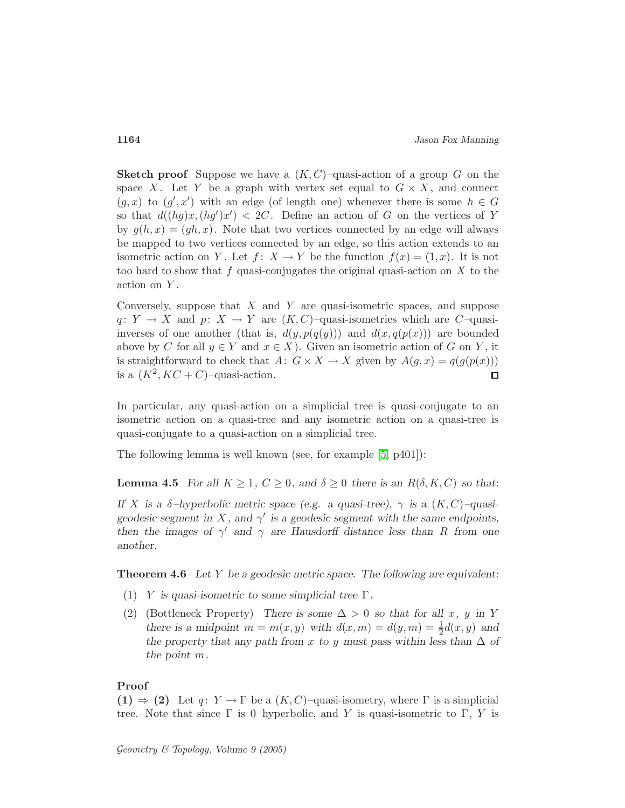**Sketch proof** Suppose we have a  $(K, C)$ –quasi-action of a group G on the space X. Let Y be a graph with vertex set equal to  $G \times X$ , and connect  $(g, x)$  to  $(g', x')$  with an edge (of length one) whenever there is some  $h \in G$ so that  $d((hg)x, (hg')x') < 2C$ . Define an action of G on the vertices of Y by  $g(h,x) = (gh,x)$ . Note that two vertices connected by an edge will always be mapped to two vertices connected by an edge, so this action extends to an isometric action on Y. Let  $f: X \to Y$  be the function  $f(x) = (1, x)$ . It is not too hard to show that f quasi-conjugates the original quasi-action on  $X$  to the action on Y .

Conversely, suppose that  $X$  and  $Y$  are quasi-isometric spaces, and suppose q:  $Y \to X$  and  $p: X \to Y$  are  $(K, C)$ –quasi-isometries which are C–quasiinverses of one another (that is,  $d(y, p(q(y)))$  and  $d(x, q(p(x)))$  are bounded above by C for all  $y \in Y$  and  $x \in X$ ). Given an isometric action of G on Y, it is straightforward to check that  $A: G \times X \to X$  given by  $A(q, x) = q(q(p(x)))$ is a  $(K^2, KC + C)$ -quasi-action.  $\Box$ 

In particular, any quasi-action on a simplicial tree is quasi-conjugate to an isometric action on a quasi-tree and any isometric action on a quasi-tree is quasi-conjugate to a quasi-action on a simplicial tree.

<span id="page-17-1"></span>The following lemma is well known (see, for example [\[5,](#page-37-4) p401]):

**Lemma 4.5** For all  $K \geq 1$ ,  $C \geq 0$ , and  $\delta \geq 0$  there is an  $R(\delta, K, C)$  so that:

If X is a δ-hyperbolic metric space (e.g. a quasi-tree),  $\gamma$  is a  $(K, C)$ -quasigeodesic segment in X, and  $\gamma'$  is a geodesic segment with the same endpoints, then the images of  $\gamma'$  and  $\gamma$  are Hausdorff distance less than R from one another.

<span id="page-17-0"></span>**Theorem 4.6** Let Y be a geodesic metric space. The following are equivalent:

- (1) Y is quasi-isometric to some simplicial tree  $\Gamma$ .
- (2) (Bottleneck Property) There is some  $\Delta > 0$  so that for all x, y in Y there is a midpoint  $m = m(x, y)$  with  $d(x, m) = d(y, m) = \frac{1}{2}d(x, y)$  and the property that any path from x to y must pass within less than  $\Delta$  of the point m.

#### Proof

 $(1) \Rightarrow (2)$  Let q:  $Y \rightarrow \Gamma$  be a  $(K, C)$ –quasi-isometry, where  $\Gamma$  is a simplicial tree. Note that since  $\Gamma$  is 0–hyperbolic, and Y is quasi-isometric to  $\Gamma$ , Y is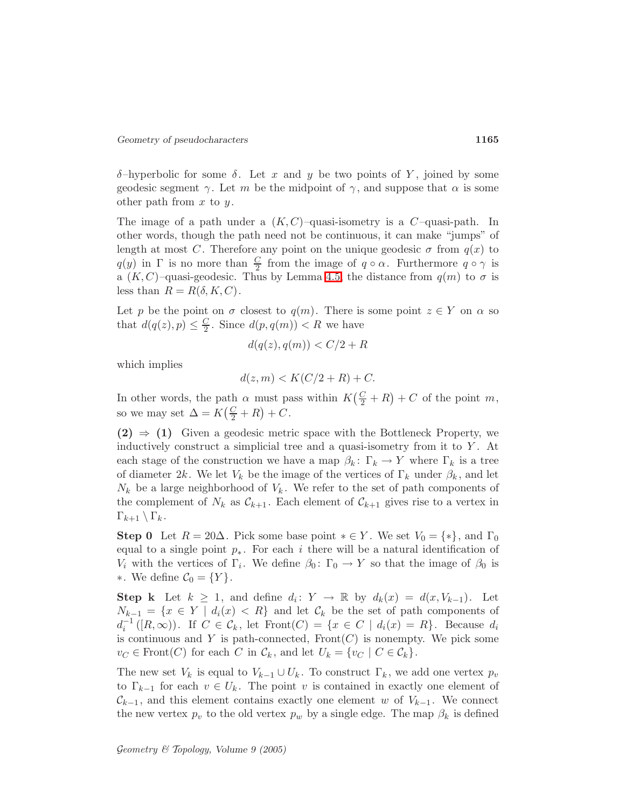δ–hyperbolic for some δ. Let x and y be two points of Y , joined by some geodesic segment  $\gamma$ . Let m be the midpoint of  $\gamma$ , and suppose that  $\alpha$  is some other path from  $x$  to  $y$ .

The image of a path under a  $(K, C)$ –quasi-isometry is a  $C$ –quasi-path. In other words, though the path need not be continuous, it can make "jumps" of length at most C. Therefore any point on the unique geodesic  $\sigma$  from  $q(x)$  to  $q(y)$  in  $\Gamma$  is no more than  $\frac{C}{2}$  from the image of  $q \circ \alpha$ . Furthermore  $q \circ \gamma$  is a  $(K, C)$ –quasi-geodesic. Thus by Lemma [4.5,](#page-17-1) the distance from  $q(m)$  to  $\sigma$  is less than  $R = R(\delta, K, C)$ .

Let p be the point on  $\sigma$  closest to  $q(m)$ . There is some point  $z \in Y$  on  $\alpha$  so that  $d(q(z), p) \leq \frac{C}{2}$ . Since  $d(p, q(m)) < R$  we have

$$
d(q(z), q(m)) < C/2 + R
$$

which implies

$$
d(z, m) < K(C/2 + R) + C.
$$

In other words, the path  $\alpha$  must pass within  $K(\frac{C}{2}+R)+C$  of the point m, so we may set  $\Delta = K(\frac{C}{2} + R) + C$ .

 $(2) \Rightarrow (1)$  Given a geodesic metric space with the Bottleneck Property, we inductively construct a simplicial tree and a quasi-isometry from it to  $Y$ . At each stage of the construction we have a map  $\beta_k: \Gamma_k \to Y$  where  $\Gamma_k$  is a tree of diameter 2k. We let  $V_k$  be the image of the vertices of  $\Gamma_k$  under  $\beta_k$ , and let  $N_k$  be a large neighborhood of  $V_k$ . We refer to the set of path components of the complement of  $N_k$  as  $\mathcal{C}_{k+1}$ . Each element of  $\mathcal{C}_{k+1}$  gives rise to a vertex in  $\Gamma_{k+1} \setminus \Gamma_k$ .

**Step 0** Let  $R = 20\Delta$ . Pick some base point  $* \in Y$ . We set  $V_0 = \{*\}$ , and  $\Gamma_0$ equal to a single point  $p_{\ast}$ . For each i there will be a natural identification of V<sub>i</sub> with the vertices of  $\Gamma_i$ . We define  $\beta_0: \Gamma_0 \to Y$  so that the image of  $\beta_0$  is ∗. We define  $C_0 = \{Y\}.$ 

**Step k** Let  $k \geq 1$ , and define  $d_i: Y \to \mathbb{R}$  by  $d_k(x) = d(x, V_{k-1})$ . Let  $N_{k-1} = \{x \in Y \mid d_i(x) < R\}$  and let  $\mathcal{C}_k$  be the set of path components of  $d_i^{-1}([R,\infty))$ . If  $C \in \mathcal{C}_k$ , let Front $(C) = \{x \in C \mid d_i(x) = R\}$ . Because  $d_i$ is continuous and Y is path-connected,  $Front(C)$  is nonempty. We pick some  $v_C \in \text{Front}(C)$  for each C in  $\mathcal{C}_k$ , and let  $U_k = \{v_C \mid C \in \mathcal{C}_k\}.$ 

The new set  $V_k$  is equal to  $V_{k-1} \cup U_k$ . To construct  $\Gamma_k$ , we add one vertex  $p_v$ to  $\Gamma_{k-1}$  for each  $v \in U_k$ . The point v is contained in exactly one element of  $\mathcal{C}_{k-1}$ , and this element contains exactly one element w of  $V_{k-1}$ . We connect the new vertex  $p_v$  to the old vertex  $p_w$  by a single edge. The map  $\beta_k$  is defined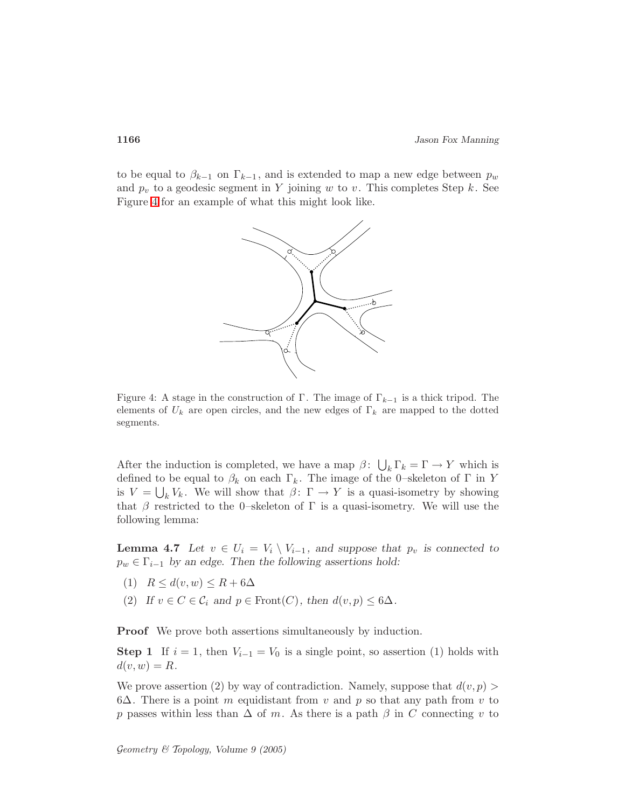to be equal to  $\beta_{k-1}$  on  $\Gamma_{k-1}$ , and is extended to map a new edge between  $p_w$ and  $p_v$  to a geodesic segment in Y joining w to v. This completes Step k. See Figure [4](#page-19-0) for an example of what this might look like.



<span id="page-19-0"></span>Figure 4: A stage in the construction of Γ. The image of  $\Gamma_{k-1}$  is a thick tripod. The elements of  $U_k$  are open circles, and the new edges of  $\Gamma_k$  are mapped to the dotted segments.

After the induction is completed, we have a map  $\beta$ :  $\bigcup_k \Gamma_k = \Gamma \to Y$  which is defined to be equal to  $\beta_k$  on each  $\Gamma_k$ . The image of the 0–skeleton of  $\Gamma$  in Y is  $V = \bigcup_k V_k$ . We will show that  $\beta: \Gamma \to Y$  is a quasi-isometry by showing that  $\beta$  restricted to the 0–skeleton of  $\Gamma$  is a quasi-isometry. We will use the following lemma:

<span id="page-19-1"></span>**Lemma 4.7** Let  $v \in U_i = V_i \setminus V_{i-1}$ , and suppose that  $p_v$  is connected to  $p_w \in \Gamma_{i-1}$  by an edge. Then the following assertions hold:

- (1)  $R \leq d(v, w) \leq R + 6\Delta$
- (2) If  $v \in C \in \mathcal{C}_i$  and  $p \in \text{Front}(C)$ , then  $d(v, p) \leq 6\Delta$ .

**Proof** We prove both assertions simultaneously by induction.

**Step 1** If  $i = 1$ , then  $V_{i-1} = V_0$  is a single point, so assertion (1) holds with  $d(v, w) = R.$ 

We prove assertion (2) by way of contradiction. Namely, suppose that  $d(v, p)$  $6\Delta$ . There is a point m equidistant from v and p so that any path from v to p passes within less than  $\Delta$  of m. As there is a path  $\beta$  in C connecting v to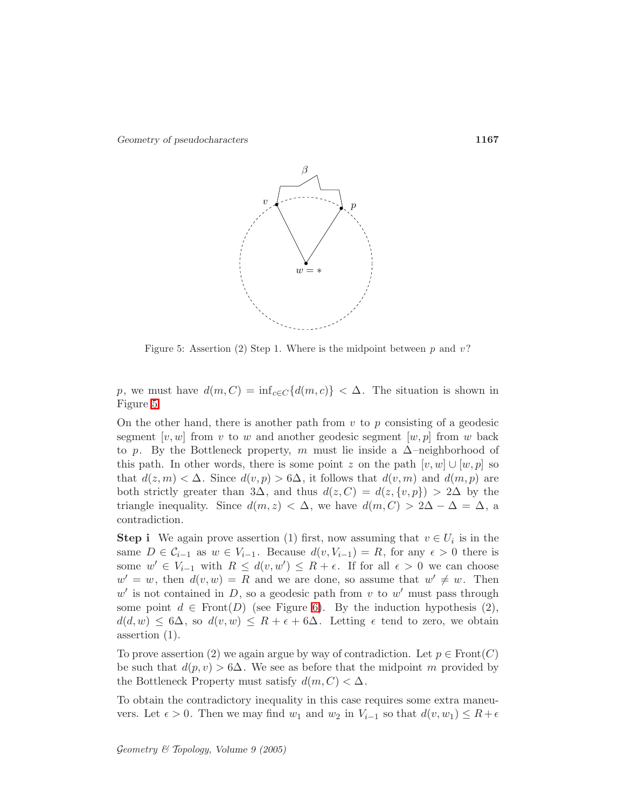Geometry of pseudocharacters 1167



<span id="page-20-0"></span>Figure 5: Assertion (2) Step 1. Where is the midpoint between  $p$  and  $v$ ?

p, we must have  $d(m, C) = \inf_{c \in C} \{d(m, c)\} < \Delta$ . The situation is shown in Figure [5.](#page-20-0)

On the other hand, there is another path from  $v$  to p consisting of a geodesic segment  $[v, w]$  from v to w and another geodesic segment  $[w, p]$  from w back to p. By the Bottleneck property, m must lie inside a  $\Delta$ –neighborhood of this path. In other words, there is some point z on the path  $[v,w] \cup [w,p]$  so that  $d(z,m) < \Delta$ . Since  $d(v,p) > 6\Delta$ , it follows that  $d(v,m)$  and  $d(m,p)$  are both strictly greater than 3 $\Delta$ , and thus  $d(z, C) = d(z, \{v, p\}) > 2\Delta$  by the triangle inequality. Since  $d(m, z) < \Delta$ , we have  $d(m, C) > 2\Delta - \Delta = \Delta$ , a contradiction.

**Step i** We again prove assertion (1) first, now assuming that  $v \in U_i$  is in the same  $D \in \mathcal{C}_{i-1}$  as  $w \in V_{i-1}$ . Because  $d(v, V_{i-1}) = R$ , for any  $\epsilon > 0$  there is some  $w' \in V_{i-1}$  with  $R \leq d(v, w') \leq R + \epsilon$ . If for all  $\epsilon > 0$  we can choose  $w' = w$ , then  $d(v, w) = R$  and we are done, so assume that  $w' \neq w$ . Then  $w'$  is not contained in D, so a geodesic path from v to  $w'$  must pass through some point  $d \in \text{Front}(D)$  (see Figure [6\)](#page-21-0). By the induction hypothesis (2),  $d(d, w) \leq 6\Delta$ , so  $d(v, w) \leq R + \epsilon + 6\Delta$ . Letting  $\epsilon$  tend to zero, we obtain assertion (1).

To prove assertion (2) we again argue by way of contradiction. Let  $p \in \text{Front}(C)$ be such that  $d(p, v) > 6\Delta$ . We see as before that the midpoint m provided by the Bottleneck Property must satisfy  $d(m, C) < \Delta$ .

To obtain the contradictory inequality in this case requires some extra maneuvers. Let  $\epsilon > 0$ . Then we may find  $w_1$  and  $w_2$  in  $V_{i-1}$  so that  $d(v, w_1) \leq R + \epsilon$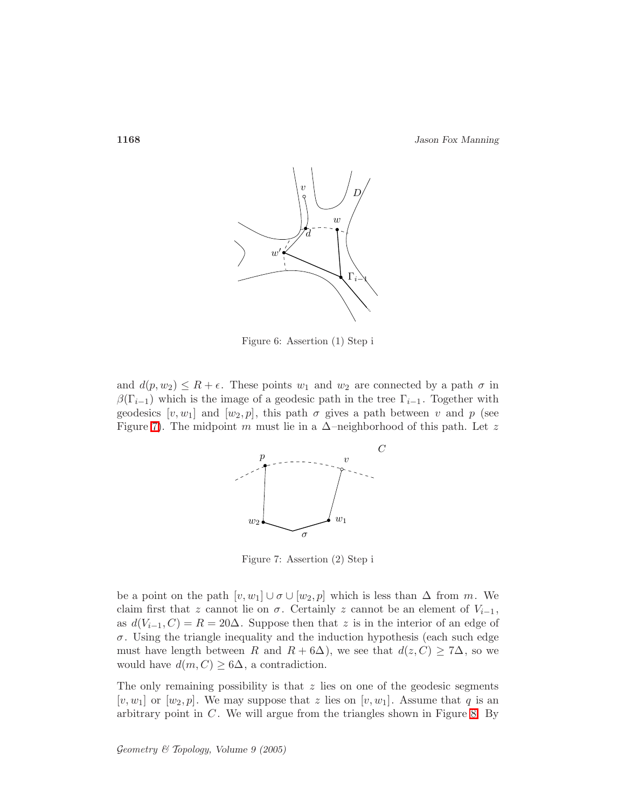1168 Jason Fox Manning



<span id="page-21-0"></span>Figure 6: Assertion (1) Step i

and  $d(p, w_2) \leq R + \epsilon$ . These points  $w_1$  and  $w_2$  are connected by a path  $\sigma$  in  $\beta(\Gamma_{i-1})$  which is the image of a geodesic path in the tree  $\Gamma_{i-1}$ . Together with geodesics  $[v, w_1]$  and  $[w_2, p]$ , this path  $\sigma$  gives a path between v and p (see Figure [7\)](#page-21-1). The midpoint m must lie in a  $\Delta$ –neighborhood of this path. Let z



<span id="page-21-1"></span>Figure 7: Assertion (2) Step i

be a point on the path  $[v,w_1] \cup \sigma \cup [w_2,p]$  which is less than  $\Delta$  from m. We claim first that z cannot lie on  $\sigma$ . Certainly z cannot be an element of  $V_{i-1}$ , as  $d(V_{i-1}, C) = R = 20\Delta$ . Suppose then that z is in the interior of an edge of  $\sigma$ . Using the triangle inequality and the induction hypothesis (each such edge must have length between R and  $R + 6\Delta$ , we see that  $d(z, C) \geq 7\Delta$ , so we would have  $d(m, C) \geq 6\Delta$ , a contradiction.

The only remaining possibility is that  $z$  lies on one of the geodesic segments  $[v, w_1]$  or  $[w_2, p]$ . We may suppose that z lies on  $[v, w_1]$ . Assume that q is an arbitrary point in C. We will argue from the triangles shown in Figure [8.](#page-22-0) By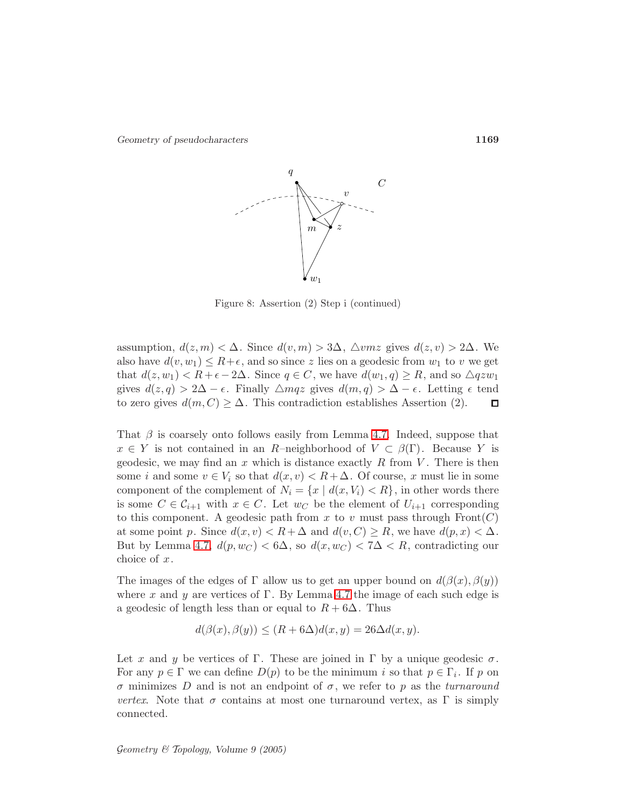Geometry of pseudocharacters 1169



<span id="page-22-0"></span>Figure 8: Assertion (2) Step i (continued)

assumption,  $d(z,m) < \Delta$ . Since  $d(v,m) > 3\Delta$ ,  $\Delta v$ mz gives  $d(z,v) > 2\Delta$ . We also have  $d(v, w_1) \leq R + \epsilon$ , and so since z lies on a geodesic from  $w_1$  to v we get that  $d(z, w_1) < R + \epsilon - 2\Delta$ . Since  $q \in C$ , we have  $d(w_1, q) \ge R$ , and so  $\Delta qzw_1$ gives  $d(z,q) > 2\Delta - \epsilon$ . Finally  $\triangle mgz$  gives  $d(m,q) > \Delta - \epsilon$ . Letting  $\epsilon$  tend to zero gives  $d(m, C) \geq \Delta$ . This contradiction establishes Assertion (2).  $\Box$ 

That  $\beta$  is coarsely onto follows easily from Lemma [4.7.](#page-19-1) Indeed, suppose that  $x \in Y$  is not contained in an R–neighborhood of  $V \subset \beta(\Gamma)$ . Because Y is geodesic, we may find an x which is distance exactly R from V. There is then some i and some  $v \in V_i$  so that  $d(x,v) < R+\Delta$ . Of course, x must lie in some component of the complement of  $N_i = \{x \mid d(x, V_i) < R\}$ , in other words there is some  $C \in \mathcal{C}_{i+1}$  with  $x \in C$ . Let  $w_C$  be the element of  $U_{i+1}$  corresponding to this component. A geodesic path from x to v must pass through  $\text{Front}(C)$ at some point p. Since  $d(x, v) < R + \Delta$  and  $d(v, C) \ge R$ , we have  $d(p, x) < \Delta$ . But by Lemma [4.7,](#page-19-1)  $d(p, w_C) < 6\Delta$ , so  $d(x, w_C) < 7\Delta < R$ , contradicting our choice of  $x$ .

The images of the edges of Γ allow us to get an upper bound on  $d(\beta(x), \beta(y))$ where x and y are vertices of  $\Gamma$ . By Lemma [4.7](#page-19-1) the image of each such edge is a geodesic of length less than or equal to  $R + 6\Delta$ . Thus

$$
d(\beta(x), \beta(y)) \le (R + 6\Delta)d(x, y) = 26\Delta d(x, y).
$$

<span id="page-22-1"></span>Let x and y be vertices of Γ. These are joined in Γ by a unique geodesic  $\sigma$ . For any  $p \in \Gamma$  we can define  $D(p)$  to be the minimum i so that  $p \in \Gamma_i$ . If p on σ minimizes D and is not an endpoint of σ, we refer to p as the turnaround *vertex.* Note that  $\sigma$  contains at most one turnaround vertex, as  $\Gamma$  is simply connected.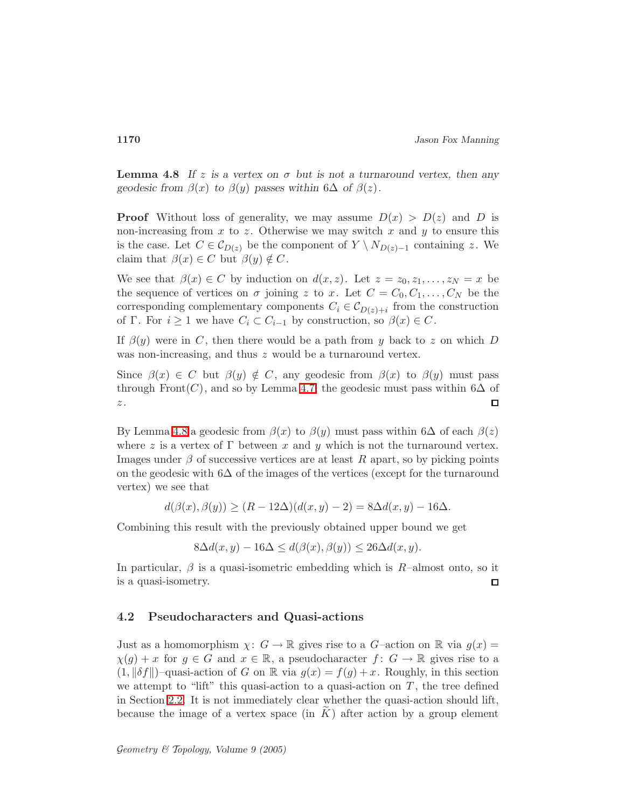**Lemma 4.8** If z is a vertex on  $\sigma$  but is not a turnaround vertex, then any geodesic from  $\beta(x)$  to  $\beta(y)$  passes within 6 $\Delta$  of  $\beta(z)$ .

**Proof** Without loss of generality, we may assume  $D(x) > D(z)$  and D is non-increasing from x to z. Otherwise we may switch x and y to ensure this is the case. Let  $C \in \mathcal{C}_{D(z)}$  be the component of  $Y \setminus N_{D(z)-1}$  containing z. We claim that  $\beta(x) \in C$  but  $\beta(y) \notin C$ .

We see that  $\beta(x) \in C$  by induction on  $d(x, z)$ . Let  $z = z_0, z_1, \ldots, z_N = x$  be the sequence of vertices on  $\sigma$  joining z to x. Let  $C = C_0, C_1, \ldots, C_N$  be the corresponding complementary components  $C_i \in \mathcal{C}_{D(z)+i}$  from the construction of Γ. For  $i \geq 1$  we have  $C_i \subset C_{i-1}$  by construction, so  $\beta(x) \in C$ .

If  $\beta(y)$  were in C, then there would be a path from y back to z on which D was non-increasing, and thus z would be a turnaround vertex.

Since  $\beta(x) \in C$  but  $\beta(y) \notin C$ , any geodesic from  $\beta(x)$  to  $\beta(y)$  must pass through Front(C), and so by Lemma [4.7,](#page-19-1) the geodesic must pass within 6 $\Delta$  of  $z$  .  $\Box$ 

By Lemma [4.8](#page-22-1) a geodesic from  $\beta(x)$  to  $\beta(y)$  must pass within 6 $\Delta$  of each  $\beta(z)$ where z is a vertex of  $\Gamma$  between x and y which is not the turnaround vertex. Images under  $\beta$  of successive vertices are at least R apart, so by picking points on the geodesic with 6∆ of the images of the vertices (except for the turnaround vertex) we see that

$$
d(\beta(x), \beta(y)) \ge (R - 12\Delta)(d(x, y) - 2) = 8\Delta d(x, y) - 16\Delta.
$$

Combining this result with the previously obtained upper bound we get

$$
8\Delta d(x,y) - 16\Delta \le d(\beta(x), \beta(y)) \le 26\Delta d(x,y).
$$

In particular,  $\beta$  is a quasi-isometric embedding which is  $R$ –almost onto, so it is a quasi-isometry.  $\Box$ 

## 4.2 Pseudocharacters and Quasi-actions

Just as a homomorphism  $\chi: G \to \mathbb{R}$  gives rise to a G-action on  $\mathbb{R}$  via  $g(x) =$  $\chi(q) + x$  for  $q \in G$  and  $x \in \mathbb{R}$ , a pseudocharacter  $f: G \to \mathbb{R}$  gives rise to a  $(1, \|\delta f\|)$ –quasi-action of G on R via  $g(x) = f(g) + x$ . Roughly, in this section we attempt to "lift" this quasi-action to a quasi-action on  $T$ , the tree defined in Section [2.2.](#page-5-3) It is not immediately clear whether the quasi-action should lift, because the image of a vertex space (in  $K$ ) after action by a group element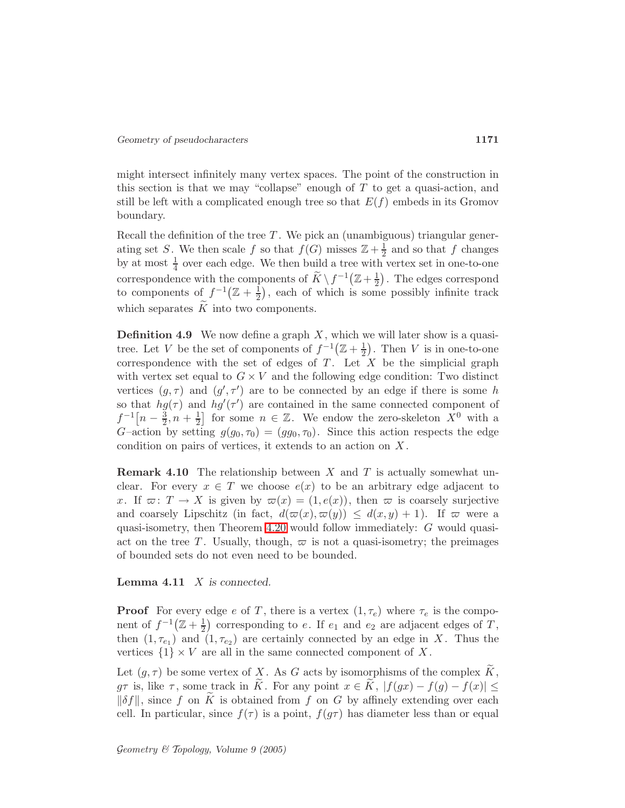might intersect infinitely many vertex spaces. The point of the construction in this section is that we may "collapse" enough of  $T$  to get a quasi-action, and still be left with a complicated enough tree so that  $E(f)$  embeds in its Gromov boundary.

Recall the definition of the tree  $T$ . We pick an (unambiguous) triangular generating set S. We then scale f so that  $f(G)$  misses  $\mathbb{Z} + \frac{1}{2}$  and so that f changes by at most  $\frac{1}{4}$  over each edge. We then build a tree with vertex set in one-to-one correspondence with the components of  $\widetilde{K} \setminus f^{-1}(\mathbb{Z}+\frac{1}{2})$  $\frac{1}{2}$ ). The edges correspond to components of  $f^{-1}(\mathbb{Z}+\frac{1}{2})$  $\frac{1}{2}$ , each of which is some possibly infinite track which separates  $\overline{K}$  into two components.

<span id="page-24-0"></span>**Definition 4.9** We now define a graph  $X$ , which we will later show is a quasitree. Let V be the set of components of  $f^{-1}(\mathbb{Z}+\frac{1}{2})$  $\frac{1}{2}$ ). Then V is in one-to-one correspondence with the set of edges of  $T$ . Let  $X$  be the simplicial graph with vertex set equal to  $G \times V$  and the following edge condition: Two distinct vertices  $(g, \tau)$  and  $(g', \tau')$  are to be connected by an edge if there is some h so that  $hg(\tau)$  and  $hg'(\tau')$  are contained in the same connected component of  $f^{-1}\left[n-\frac{3}{2}\right]$  $\frac{3}{2}, n + \frac{1}{2}$  $\frac{1}{2}$  for some  $n \in \mathbb{Z}$ . We endow the zero-skeleton  $\overline{X}^0$  with a G–action by setting  $g(g_0, \tau_0) = (gg_0, \tau_0)$ . Since this action respects the edge condition on pairs of vertices, it extends to an action on  $X$ .

**Remark 4.10** The relationship between X and T is actually somewhat unclear. For every  $x \in T$  we choose  $e(x)$  to be an arbitrary edge adjacent to x. If  $\varpi$ :  $T \to X$  is given by  $\varpi(x) = (1, e(x))$ , then  $\varpi$  is coarsely surjective and coarsely Lipschitz (in fact,  $d(\varpi(x), \varpi(y)) \leq d(x, y) + 1$ ). If  $\varpi$  were a quasi-isometry, then Theorem [4.20](#page-29-0) would follow immediately: G would quasiact on the tree T. Usually, though,  $\varpi$  is not a quasi-isometry; the preimages of bounded sets do not even need to be bounded.

<span id="page-24-1"></span>**Lemma 4.11**  $X$  is connected.

**Proof** For every edge e of T, there is a vertex  $(1, \tau_e)$  where  $\tau_e$  is the component of  $f^{-1}(\mathbb{Z}+\frac{1}{2})$  corresponding to e. If  $e_1$  and  $e_2$  are adjacent edges of T, then  $(1, \tau_{e_1})$  and  $(1, \tau_{e_2})$  are certainly connected by an edge in X. Thus the vertices  $\{1\} \times V$  are all in the same connected component of X.

Let  $(g, \tau)$  be some vertex of X. As G acts by isomorphisms of the complex K, g $\tau$  is, like  $\tau$ , some track in  $\widetilde{K}$ . For any point  $x \in \widetilde{K}$ ,  $|f(gx) - f(g) - f(x)| \leq$  $\|\delta f\|$ , since f on K is obtained from f on G by affinely extending over each cell. In particular, since  $f(\tau)$  is a point,  $f(g\tau)$  has diameter less than or equal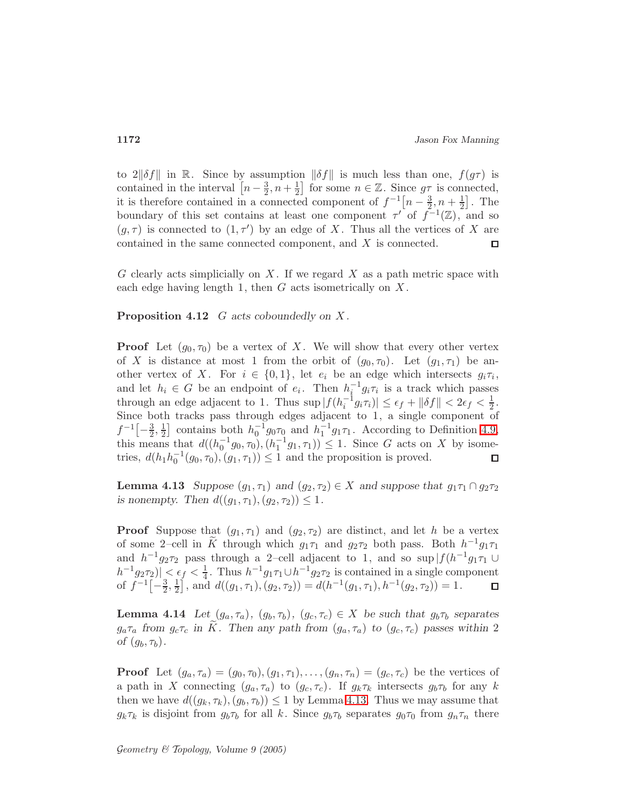to  $2\|\delta f\|$  in R. Since by assumption  $\|\delta f\|$  is much less than one,  $f(q\tau)$  is contained in the interval  $\left[n-\frac{3}{2},n+\frac{1}{2}\right]$  for some  $n \in \mathbb{Z}$ . Since  $g\tau$  is connected, it is therefore contained in a connected component of  $f^{-1}[n-\frac{3}{2},n+\frac{1}{2}]$ . The boundary of this set contains at least one component  $\tau'$  of  $f^{-1}(\mathbb{Z})$ , and so  $(g, \tau)$  is connected to  $(1, \tau')$  by an edge of X. Thus all the vertices of X are contained in the same connected component, and X is connected.  $\Box$ 

 $G$  clearly acts simplicially on  $X$ . If we regard  $X$  as a path metric space with each edge having length 1, then  $G$  acts isometrically on  $X$ .

**Proposition 4.12** G acts coboundedly on  $X$ .

**Proof** Let  $(g_0, \tau_0)$  be a vertex of X. We will show that every other vertex of X is distance at most 1 from the orbit of  $(g_0, \tau_0)$ . Let  $(g_1, \tau_1)$  be another vertex of X. For  $i \in \{0,1\}$ , let  $e_i$  be an edge which intersects  $g_i \tau_i$ , and let  $h_i \in G$  be an endpoint of  $e_i$ . Then  $h_i^{-1} g_i \tau_i$  is a track which passes through an edge adjacent to 1. Thus  $\sup |f(h_i^{-1}g_i\tau_i)| \leq \epsilon_f + ||\delta f|| < 2\epsilon_f < \frac{1}{2}$  $\frac{1}{2}$ . Since both tracks pass through edges adjacent to 1, a single component of  $f^{-1}\left[-\frac{3}{2}\right]$  $\frac{1}{2}$  contains both  $h_0^{-1}g_0\tau_0$  and  $h_1^{-1}g_1\tau_1$ . According to Definition [4.9,](#page-24-0)  $\frac{3}{2}, \frac{1}{2}$ this means that  $d((h_0^{-1}g_0, \tau_0), (h_1^{-1}g_1, \tau_1)) \leq 1$ . Since G acts on X by isometries,  $d(h_1h_0^{-1}(g_0, \tau_0), (g_1, \tau_1)) \leq 1$  and the proposition is proved.  $\Box$ 

<span id="page-25-0"></span>**Lemma 4.13** Suppose  $(g_1, \tau_1)$  and  $(g_2, \tau_2) \in X$  and suppose that  $g_1 \tau_1 \cap g_2 \tau_2$ is nonempty. Then  $d((g_1, \tau_1), (g_2, \tau_2)) \leq 1$ .

**Proof** Suppose that  $(g_1, \tau_1)$  and  $(g_2, \tau_2)$  are distinct, and let h be a vertex of some 2-cell in  $\tilde{K}$  through which  $g_1\tau_1$  and  $g_2\tau_2$  both pass. Both  $h^{-1}g_1\tau_1$ and  $h^{-1}g_2\tau_2$  pass through a 2-cell adjacent to 1, and so sup  $|f(h^{-1}g_1\tau_1 \cup$  $|h^{-1}g_2\tau_2)| < \epsilon_f < \frac{1}{4}$  $\frac{1}{4}$ . Thus  $h^{-1}g_1\tau_1\cup h^{-1}g_2\tau_2$  is contained in a single component of  $f^{-1}(-\frac{3}{2})$  $\frac{3}{2}, \frac{1}{2}$  $\frac{1}{2}$ , and  $d((g_1, \tau_1), (g_2, \tau_2)) = d(h^{-1}(g_1, \tau_1), h^{-1}(g_2, \tau_2)) = 1.$ 

<span id="page-25-1"></span>**Lemma 4.14** Let  $(g_a, \tau_a)$ ,  $(g_b, \tau_b)$ ,  $(g_c, \tau_c) \in X$  be such that  $g_b \tau_b$  separates  $g_a\tau_a$  from  $g_c\tau_c$  in K. Then any path from  $(g_a, \tau_a)$  to  $(g_c, \tau_c)$  passes within 2 of  $(g_b, \tau_b)$ .

**Proof** Let  $(g_a, \tau_a) = (g_0, \tau_0), (g_1, \tau_1), \ldots, (g_n, \tau_n) = (g_c, \tau_c)$  be the vertices of a path in X connecting  $(g_a, \tau_a)$  to  $(g_c, \tau_c)$ . If  $g_k \tau_k$  intersects  $g_b \tau_b$  for any k then we have  $d((g_k, \tau_k), (g_b, \tau_b)) \leq 1$  by Lemma [4.13.](#page-25-0) Thus we may assume that  $g_k \tau_k$  is disjoint from  $g_b \tau_b$  for all k. Since  $g_b \tau_b$  separates  $g_0 \tau_0$  from  $g_n \tau_n$  there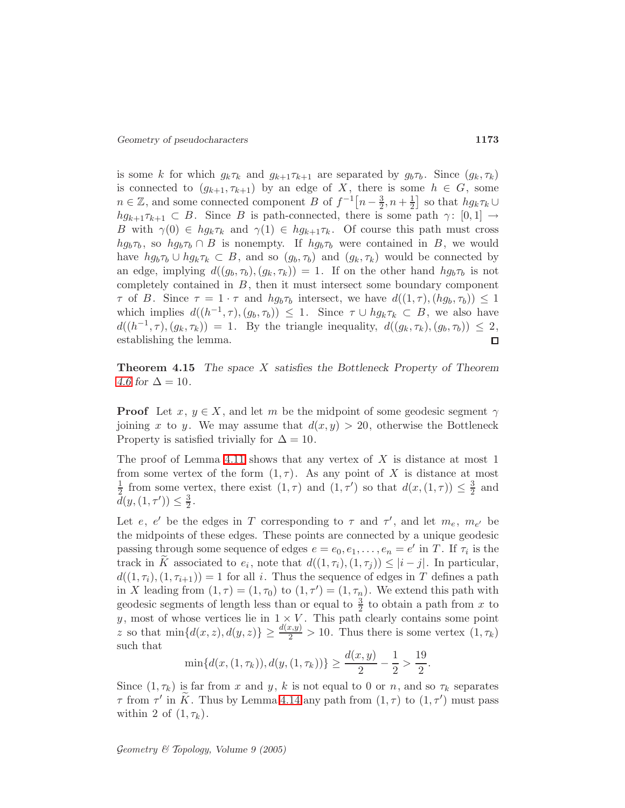is some k for which  $g_k \tau_k$  and  $g_{k+1} \tau_{k+1}$  are separated by  $g_b \tau_b$ . Since  $(g_k, \tau_k)$ is connected to  $(g_{k+1}, \tau_{k+1})$  by an edge of X, there is some  $h \in G$ , some  $n \in \mathbb{Z}$ , and some connected component B of  $f^{-1}\left[n-\frac{3}{2},n+\frac{1}{2}\right]$  so that  $hg_k\tau_k \cup$  $hg_{k+1}\tau_{k+1}\subset B$ . Since B is path-connected, there is some path  $\gamma: [0,1] \to$ B with  $\gamma(0) \in hg_k\tau_k$  and  $\gamma(1) \in hg_{k+1}\tau_k$ . Of course this path must cross  $h g_b \tau_b$ , so  $h g_b \tau_b \cap B$  is nonempty. If  $h g_b \tau_b$  were contained in B, we would have  $hg_b\tau_b \cup hg_k\tau_k \subset B$ , and so  $(g_b, \tau_b)$  and  $(g_k, \tau_k)$  would be connected by an edge, implying  $d((g_b, \tau_b), (g_k, \tau_k)) = 1$ . If on the other hand  $hg_b\tau_b$  is not completely contained in  $B$ , then it must intersect some boundary component  $\tau$  of B. Since  $\tau = 1 \cdot \tau$  and  $hg_b\tau_b$  intersect, we have  $d((1, \tau), (hg_b, \tau_b)) \leq 1$ which implies  $d((h^{-1}, \tau), (g_b, \tau_b)) \leq 1$ . Since  $\tau \cup hg_k\tau_k \subset B$ , we also have  $d((h^{-1}, \tau), (g_k, \tau_k)) = 1$ . By the triangle inequality,  $d((g_k, \tau_k), (g_b, \tau_b)) \leq 2$ , establishing the lemma.  $\Box$ 

Theorem 4.15 The space X satisfies the Bottleneck Property of Theorem [4.6](#page-17-0) for  $\Delta = 10$ .

**Proof** Let  $x, y \in X$ , and let m be the midpoint of some geodesic segment  $\gamma$ joining x to y. We may assume that  $d(x,y) > 20$ , otherwise the Bottleneck Property is satisfied trivially for  $\Delta = 10$ .

The proof of Lemma [4.11](#page-24-1) shows that any vertex of  $X$  is distance at most 1 from some vertex of the form  $(1, \tau)$ . As any point of X is distance at most 1  $\frac{1}{2}$  from some vertex, there exist  $(1, \tau)$  and  $(1, \tau')$  so that  $d(x, (1, \tau)) \leq \frac{3}{2}$  $rac{3}{2}$  and  $\overline{d}(y,(1,\tau')) \leq \frac{3}{2}$  $\frac{3}{2}$ .

Let e, e' be the edges in T corresponding to  $\tau$  and  $\tau'$ , and let  $m_e$ ,  $m_{e'}$  be the midpoints of these edges. These points are connected by a unique geodesic passing through some sequence of edges  $e = e_0, e_1, \dots, e_n = e'$  in T. If  $\tau_i$  is the track in K associated to  $e_i$ , note that  $d((1, \tau_i), (1, \tau_j)) \leq |i - j|$ . In particular,  $d((1, \tau_i), (1, \tau_{i+1})) = 1$  for all i. Thus the sequence of edges in T defines a path in X leading from  $(1, \tau) = (1, \tau_0)$  to  $(1, \tau') = (1, \tau_n)$ . We extend this path with geodesic segments of length less than or equal to  $\frac{3}{2}$  to obtain a path from x to y, most of whose vertices lie in  $1 \times V$ . This path clearly contains some point z so that  $\min\{d(x, z), d(y, z)\} \geq \frac{d(x, y)}{2} > 10$ . Thus there is some vertex  $(1, \tau_k)$ such that

$$
\min\{d(x,(1,\tau_k)),d(y,(1,\tau_k))\}\geq \frac{d(x,y)}{2}-\frac{1}{2}>\frac{19}{2}.
$$

Since  $(1, \tau_k)$  is far from x and y, k is not equal to 0 or n, and so  $\tau_k$  separates  $\tau$  from  $\tau'$  in  $\tilde{K}$ . Thus by Lemma [4.14](#page-25-1) any path from  $(1, \tau)$  to  $(1, \tau')$  must pass within 2 of  $(1, \tau_k)$ .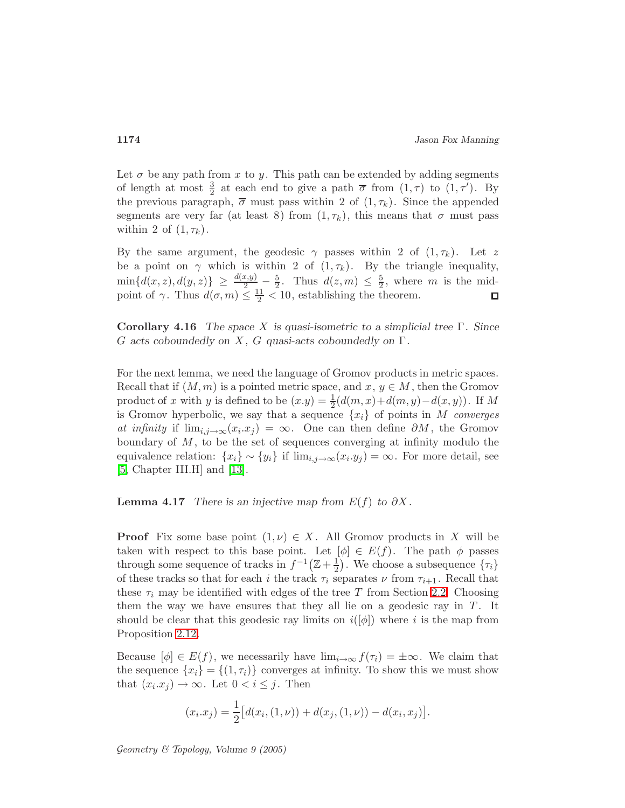Let  $\sigma$  be any path from x to y. This path can be extended by adding segments of length at most  $\frac{3}{2}$  at each end to give a path  $\overline{\sigma}$  from  $(1,\tau)$  to  $(1,\tau')$ . By the previous paragraph,  $\overline{\sigma}$  must pass within 2 of  $(1, \tau_k)$ . Since the appended segments are very far (at least 8) from  $(1, \tau_k)$ , this means that  $\sigma$  must pass within 2 of  $(1, \tau_k)$ .

By the same argument, the geodesic  $\gamma$  passes within 2 of  $(1, \tau_k)$ . Let z be a point on  $\gamma$  which is within 2 of  $(1, \tau_k)$ . By the triangle inequality,  $\min\{d(x,z),d(y,z)\}\geq \frac{d(x,y)}{2}-\frac{5}{2}$  $\frac{5}{2}$ . Thus  $d(z, m) \leq \frac{5}{2}$  $\frac{5}{2}$ , where m is the midpoint of  $\gamma$ . Thus  $d(\sigma, m) \leq \frac{11}{2} < 10$ , establishing the theorem.

<span id="page-27-0"></span>Corollary 4.16 The space X is quasi-isometric to a simplicial tree  $\Gamma$ . Since G acts coboundedly on X, G quasi-acts coboundedly on  $\Gamma$ .

For the next lemma, we need the language of Gromov products in metric spaces. Recall that if  $(M,m)$  is a pointed metric space, and  $x, y \in M$ , then the Gromov product of x with y is defined to be  $(x.y) = \frac{1}{2}(d(m,x)+d(m,y)-d(x,y))$ . If M is Gromov hyperbolic, we say that a sequence  $\{x_i\}$  of points in M converges at infinity if  $\lim_{i,j\to\infty}(x_i.x_j) = \infty$ . One can then define  $\partial M$ , the Gromov boundary of  $M$ , to be the set of sequences converging at infinity modulo the equivalence relation:  $\{x_i\} \sim \{y_i\}$  if  $\lim_{i,j \to \infty} (x_i \cdot y_j) = \infty$ . For more detail, see [\[5,](#page-37-4) Chapter III.H] and [\[13\]](#page-38-11).

<span id="page-27-1"></span>**Lemma 4.17** There is an injective map from  $E(f)$  to  $\partial X$ .

**Proof** Fix some base point  $(1, \nu) \in X$ . All Gromov products in X will be taken with respect to this base point. Let  $[\phi] \in E(f)$ . The path  $\phi$  passes through some sequence of tracks in  $f^{-1}(\mathbb{Z}+\frac{1}{2})$ . We choose a subsequence  $\{\tau_i\}$ of these tracks so that for each i the track  $\tau_i$  separates  $\nu$  from  $\tau_{i+1}$ . Recall that these  $\tau_i$  may be identified with edges of the tree T from Section [2.2.](#page-5-3) Choosing them the way we have ensures that they all lie on a geodesic ray in  $T$ . It should be clear that this geodesic ray limits on  $i([\phi])$  where i is the map from Proposition [2.12.](#page-5-0)

Because  $[\phi] \in E(f)$ , we necessarily have  $\lim_{i \to \infty} f(\tau_i) = \pm \infty$ . We claim that the sequence  $\{x_i\} = \{(1, \tau_i)\}\)$  converges at infinity. To show this we must show that  $(x_i.x_j) \to \infty$ . Let  $0 < i \leq j$ . Then

$$
(x_i.x_j) = \frac{1}{2} [d(x_i,(1,\nu)) + d(x_j,(1,\nu)) - d(x_i,x_j)].
$$

Geometry & Topology, Volume 9 (2005)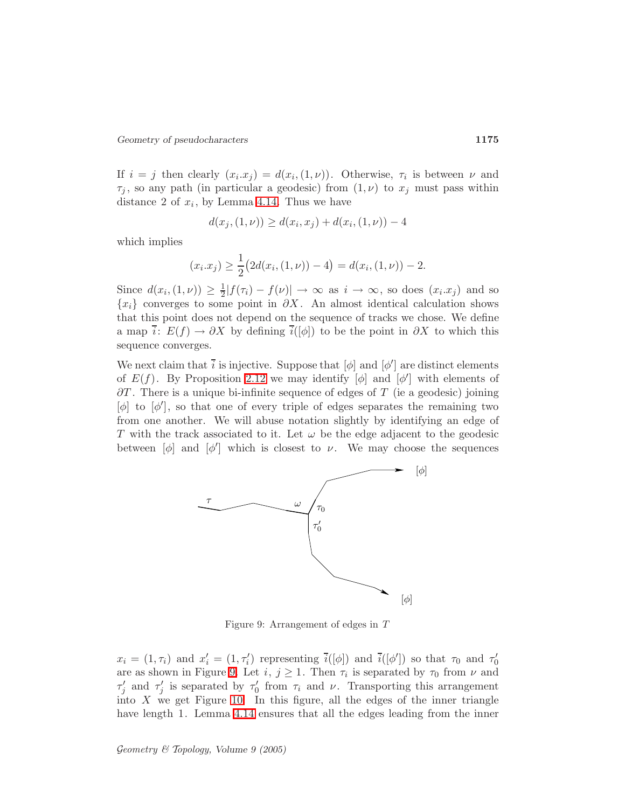If  $i = j$  then clearly  $(x_i.x_j) = d(x_i, (1, \nu))$ . Otherwise,  $\tau_i$  is between  $\nu$  and  $\tau_i$ , so any path (in particular a geodesic) from  $(1,\nu)$  to  $x_j$  must pass within distance 2 of  $x_i$ , by Lemma [4.14.](#page-25-1) Thus we have

$$
d(x_j, (1, \nu)) \ge d(x_i, x_j) + d(x_i, (1, \nu)) - 4
$$

which implies

$$
(x_i.x_j) \ge \frac{1}{2} (2d(x_i,(1,\nu)) - 4) = d(x_i,(1,\nu)) - 2.
$$

Since  $d(x_i, (1, \nu)) \geq \frac{1}{2}$  $\frac{1}{2}|f(\tau_i)-f(\nu)| \to \infty$  as  $i \to \infty$ , so does  $(x_i.x_j)$  and so  ${x_i}$  converges to some point in  $\partial X$ . An almost identical calculation shows that this point does not depend on the sequence of tracks we chose. We define a map  $\bar{i}: E(f) \to \partial X$  by defining  $\bar{i}([\phi])$  to be the point in  $\partial X$  to which this sequence converges.

We next claim that  $\bar{i}$  is injective. Suppose that  $[\phi]$  and  $[\phi']$  are distinct elements of  $E(f)$ . By Proposition [2.12](#page-5-0) we may identify  $[\phi]$  and  $[\phi']$  with elements of  $\partial T$ . There is a unique bi-infinite sequence of edges of T (ie a geodesic) joining  $[\phi]$  to  $[\phi']$ , so that one of every triple of edges separates the remaining two from one another. We will abuse notation slightly by identifying an edge of T with the track associated to it. Let  $\omega$  be the edge adjacent to the geodesic between  $[\phi]$  and  $[\phi']$  which is closest to  $\nu$ . We may choose the sequences



<span id="page-28-0"></span>Figure 9: Arrangement of edges in T

 $x_i = (1, \tau_i)$  and  $x'_i = (1, \tau'_i)$  representing  $\overline{i}([\phi])$  and  $\overline{i}([\phi'])$  so that  $\tau_0$  and  $\tau'_0$ are as shown in Figure [9.](#page-28-0) Let  $i, j \geq 1$ . Then  $\tau_i$  is separated by  $\tau_0$  from  $\nu$  and  $\tau'_j$  and  $\tau'_j$  is separated by  $\tau'_0$  from  $\tau_i$  and  $\nu$ . Transporting this arrangement into  $X$  we get Figure [10.](#page-29-1) In this figure, all the edges of the inner triangle have length 1. Lemma [4.14](#page-25-1) ensures that all the edges leading from the inner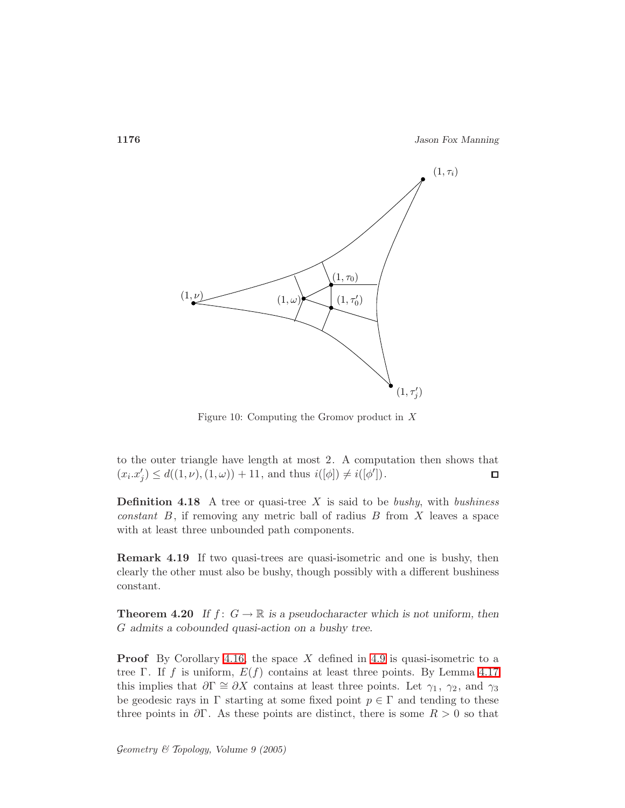1176 Jason Fox Manning



<span id="page-29-1"></span>Figure 10: Computing the Gromov product in  $X$ 

to the outer triangle have length at most 2. A computation then shows that  $(x_i.x'_j) \leq d((1,\nu),(1,\omega)) + 11$ , and thus  $i([\phi]) \neq i([\phi'])$ .  $\Box$ 

**Definition 4.18** A tree or quasi-tree X is said to be bushy, with bushiness constant  $B$ , if removing any metric ball of radius  $B$  from  $X$  leaves a space with at least three unbounded path components.

Remark 4.19 If two quasi-trees are quasi-isometric and one is bushy, then clearly the other must also be bushy, though possibly with a different bushiness constant.

<span id="page-29-0"></span>**Theorem 4.20** If  $f: G \to \mathbb{R}$  is a pseudocharacter which is not uniform, then G admits a cobounded quasi-action on a bushy tree.

**Proof** By Corollary [4.16,](#page-27-0) the space X defined in [4.9](#page-24-0) is quasi-isometric to a tree Γ. If f is uniform,  $E(f)$  contains at least three points. By Lemma [4.17](#page-27-1) this implies that  $\partial \Gamma \cong \partial X$  contains at least three points. Let  $\gamma_1$ ,  $\gamma_2$ , and  $\gamma_3$ be geodesic rays in  $\Gamma$  starting at some fixed point  $p \in \Gamma$  and tending to these three points in  $\partial \Gamma$ . As these points are distinct, there is some  $R > 0$  so that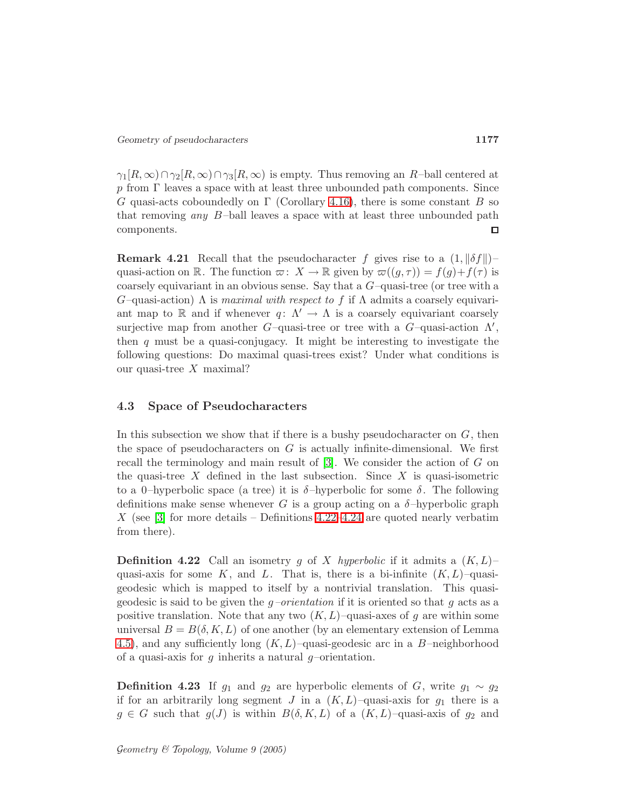$\gamma_1[R,\infty) \cap \gamma_2[R,\infty) \cap \gamma_3[R,\infty)$  is empty. Thus removing an R-ball centered at p from  $\Gamma$  leaves a space with at least three unbounded path components. Since G quasi-acts coboundedly on  $\Gamma$  (Corollary [4.16\)](#page-27-0), there is some constant B so that removing *any*  $B$ -ball leaves a space with at least three unbounded path components.  $\Box$ 

**Remark 4.21** Recall that the pseudocharacter f gives rise to a  $(1, \|\delta f\|)$ – quasi-action on R. The function  $\varpi: X \to \mathbb{R}$  given by  $\varpi((q, \tau)) = f(q) + f(\tau)$  is coarsely equivariant in an obvious sense. Say that a G–quasi-tree (or tree with a  $G$ –quasi-action)  $\Lambda$  is maximal with respect to f if  $\Lambda$  admits a coarsely equivariant map to R and if whenever  $q: \Lambda' \to \Lambda$  is a coarsely equivariant coarsely surjective map from another  $G$ -quasi-tree or tree with a  $G$ -quasi-action  $\Lambda'$ , then  $q$  must be a quasi-conjugacy. It might be interesting to investigate the following questions: Do maximal quasi-trees exist? Under what conditions is our quasi-tree  $X$  maximal?

## 4.3 Space of Pseudocharacters

In this subsection we show that if there is a bushy pseudocharacter on  $G$ , then the space of pseudocharacters on  $G$  is actually infinite-dimensional. We first recall the terminology and main result of [\[3\]](#page-37-1). We consider the action of G on the quasi-tree X defined in the last subsection. Since X is quasi-isometric to a 0–hyperbolic space (a tree) it is  $\delta$ –hyperbolic for some  $\delta$ . The following definitions make sense whenever G is a group acting on a  $\delta$ -hyperbolic graph X (see  $\lceil 3 \rceil$  for more details – Definitions [4.22–](#page-30-0)[4.24](#page-31-0) are quoted nearly verbatim from there).

<span id="page-30-0"></span>**Definition 4.22** Call an isometry g of X hyperbolic if it admits a  $(K, L)$ quasi-axis for some K, and L. That is, there is a bi-infinite  $(K, L)$ –quasigeodesic which is mapped to itself by a nontrivial translation. This quasigeodesic is said to be given the  $q$ -orientation if it is oriented so that q acts as a positive translation. Note that any two  $(K, L)$ –quasi-axes of g are within some universal  $B = B(\delta, K, L)$  of one another (by an elementary extension of Lemma [4.5\)](#page-17-1), and any sufficiently long  $(K, L)$ –quasi-geodesic arc in a B–neighborhood of a quasi-axis for  $q$  inherits a natural  $q$ -orientation.

**Definition 4.23** If  $g_1$  and  $g_2$  are hyperbolic elements of G, write  $g_1 \sim g_2$ if for an arbitrarily long segment J in a  $(K, L)$ -quasi-axis for  $g_1$  there is a  $g \in G$  such that  $g(J)$  is within  $B(\delta, K, L)$  of a  $(K, L)$ -quasi-axis of  $g_2$  and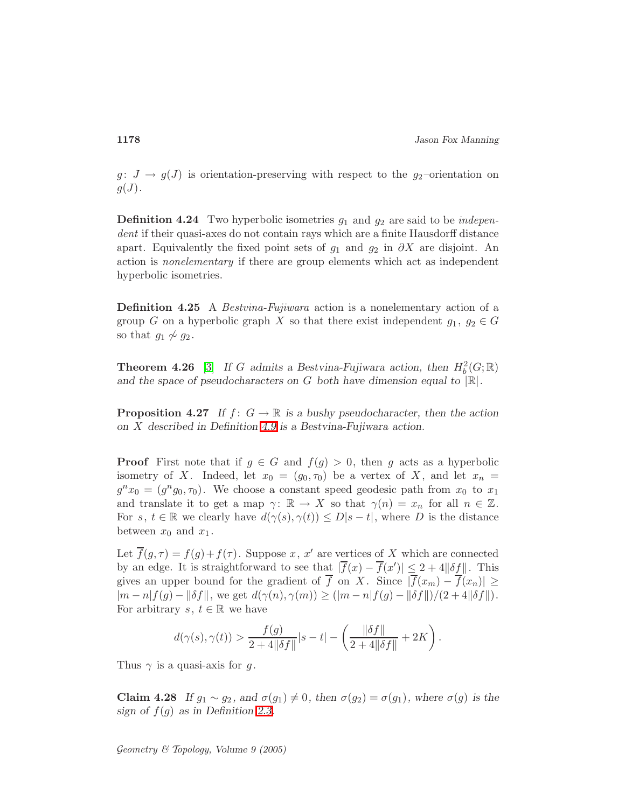<span id="page-31-0"></span> $g: J \to g(J)$  is orientation-preserving with respect to the  $g_2$ -orientation on  $g(J)$ .

**Definition 4.24** Two hyperbolic isometries  $g_1$  and  $g_2$  are said to be *indepen*dent if their quasi-axes do not contain rays which are a finite Hausdorff distance apart. Equivalently the fixed point sets of  $g_1$  and  $g_2$  in  $\partial X$  are disjoint. An action is nonelementary if there are group elements which act as independent hyperbolic isometries.

Definition 4.25 A Bestvina-Fujiwara action is a nonelementary action of a group G on a hyperbolic graph X so that there exist independent  $g_1, g_2 \in G$ so that  $g_1 \not\sim g_2$ .

<span id="page-31-2"></span>**Theorem 4.26** [\[3\]](#page-37-1) If G admits a Bestvina-Fujiwara action, then  $H_b^2(G; \mathbb{R})$ and the space of pseudocharacters on G both have dimension equal to  $|\mathbb{R}|$ .

<span id="page-31-1"></span>**Proposition 4.27** If  $f: G \to \mathbb{R}$  is a bushy pseudocharacter, then the action on X described in Definition [4.9](#page-24-0) is a Bestvina-Fujiwara action.

**Proof** First note that if  $g \in G$  and  $f(g) > 0$ , then g acts as a hyperbolic isometry of X. Indeed, let  $x_0 = (g_0, \tau_0)$  be a vertex of X, and let  $x_n =$  $g^n x_0 = (g^n g_0, \tau_0)$ . We choose a constant speed geodesic path from  $x_0$  to  $x_1$ and translate it to get a map  $\gamma: \mathbb{R} \to X$  so that  $\gamma(n) = x_n$  for all  $n \in \mathbb{Z}$ . For s,  $t \in \mathbb{R}$  we clearly have  $d(\gamma(s), \gamma(t)) \leq D|s-t|$ , where D is the distance between  $x_0$  and  $x_1$ .

Let  $\overline{f}(g,\tau) = f(g) + f(\tau)$ . Suppose x, x' are vertices of X which are connected by an edge. It is straightforward to see that  $|\overline{f}(x) - \overline{f}(x')| \leq 2 + 4||\delta f||$ . This gives an upper bound for the gradient of  $\overline{f}$  on X. Since  $|\overline{f}(x_m) - \overline{f}(x_n)| \ge$  $|m - n|f(q) - ||\delta f||$ , we get  $d(\gamma(n), \gamma(m)) \geq (|m - n|f(q) - ||\delta f||)/((2 + 4||\delta f||)$ . For arbitrary s,  $t \in \mathbb{R}$  we have

$$
d(\gamma(s),\gamma(t)) > \frac{f(g)}{2+4\|\delta f\|} |s-t| - \left(\frac{\|\delta f\|}{2+4\|\delta f\|} + 2K\right).
$$

Thus  $\gamma$  is a quasi-axis for g.

Claim 4.28 If  $g_1 \sim g_2$ , and  $\sigma(g_1) \neq 0$ , then  $\sigma(g_2) = \sigma(g_1)$ , where  $\sigma(g)$  is the sign of  $f(g)$  as in Definition [2.3.](#page-3-1)

Geometry  $\mathcal C$  Topology, Volume 9 (2005)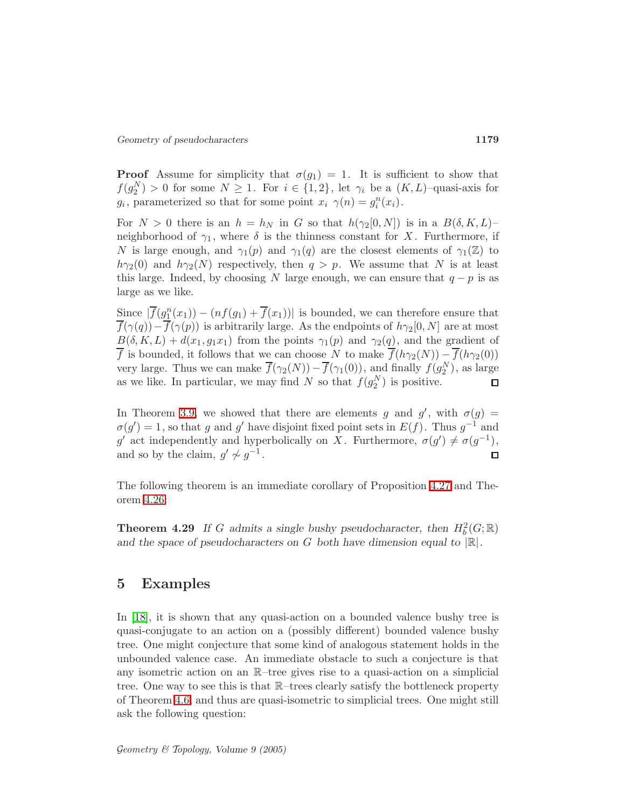**Proof** Assume for simplicity that  $\sigma(g_1) = 1$ . It is sufficient to show that  $f(g_2^N) > 0$  for some  $N \geq 1$ . For  $i \in \{1,2\}$ , let  $\gamma_i$  be a  $(K, L)$ -quasi-axis for  $g_i$ , parameterized so that for some point  $x_i \gamma(n) = g_i^n(x_i)$ .

For  $N > 0$  there is an  $h = h_N$  in G so that  $h(\gamma_2[0,N])$  is in a  $B(\delta, K, L)$ neighborhood of  $\gamma_1$ , where  $\delta$  is the thinness constant for X. Furthermore, if N is large enough, and  $\gamma_1(p)$  and  $\gamma_1(q)$  are the closest elements of  $\gamma_1(\mathbb{Z})$  to  $h\gamma_2(0)$  and  $h\gamma_2(N)$  respectively, then  $q > p$ . We assume that N is at least this large. Indeed, by choosing N large enough, we can ensure that  $q - p$  is as large as we like.

Since  $|\overline{f}(g_1^n(x_1)) - (nf(g_1) + \overline{f}(x_1))|$  is bounded, we can therefore ensure that  $\overline{f}(\gamma(q))-\overline{f}(\gamma(p))$  is arbitrarily large. As the endpoints of  $h\gamma_2[0,N]$  are at most  $B(\delta, K, L) + d(x_1, g_1x_1)$  from the points  $\gamma_1(p)$  and  $\gamma_2(q)$ , and the gradient of  $\overline{f}$  is bounded, it follows that we can choose N to make  $\overline{f}(h\gamma_2(N)) - \overline{f}(h\gamma_2(0))$ very large. Thus we can make  $\overline{f}(\gamma_2(N)) - \overline{f}(\gamma_1(0))$ , and finally  $f(g_2^N)$ , as large as we like. In particular, we may find N so that  $f(g_2^N)$  is positive.

In Theorem [3.9,](#page-14-1) we showed that there are elements g and  $g'$ , with  $\sigma(g)$  =  $\sigma(g') = 1$ , so that g and g' have disjoint fixed point sets in  $E(f)$ . Thus  $g^{-1}$  and g' act independently and hyperbolically on X. Furthermore,  $\sigma(g') \neq \sigma(g^{-1}),$ and so by the claim,  $g' \nsim g^{-1}$ .  $\Box$ 

<span id="page-32-0"></span>The following theorem is an immediate corollary of Proposition [4.27](#page-31-1) and Theorem [4.26:](#page-31-2)

**Theorem 4.29** If G admits a single bushy pseudocharacter, then  $H_b^2(G; \mathbb{R})$ and the space of pseudocharacters on G both have dimension equal to  $|\mathbb{R}|$ .

## <span id="page-32-1"></span>5 Examples

<span id="page-32-2"></span>In [\[18\]](#page-38-10), it is shown that any quasi-action on a bounded valence bushy tree is quasi-conjugate to an action on a (possibly different) bounded valence bushy tree. One might conjecture that some kind of analogous statement holds in the unbounded valence case. An immediate obstacle to such a conjecture is that any isometric action on an R–tree gives rise to a quasi-action on a simplicial tree. One way to see this is that R–trees clearly satisfy the bottleneck property of Theorem [4.6,](#page-17-0) and thus are quasi-isometric to simplicial trees. One might still ask the following question: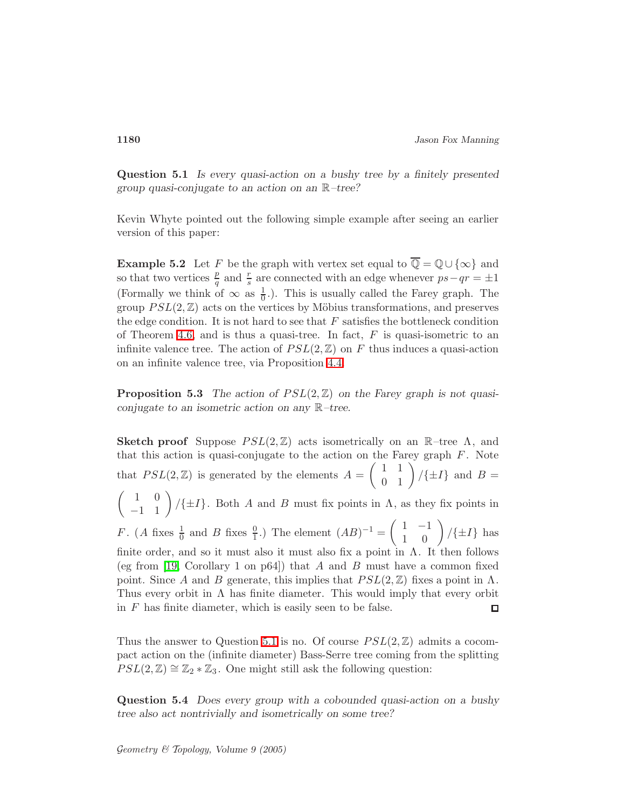Question 5.1 Is every quasi-action on a bushy tree by a finitely presented group quasi-conjugate to an action on an  $\mathbb{R}$ –tree?

Kevin Whyte pointed out the following simple example after seeing an earlier version of this paper:

**Example 5.2** Let F be the graph with vertex set equal to  $\overline{\mathbb{Q}} = \mathbb{Q} \cup \{\infty\}$  and so that two vertices  $\frac{p}{q}$  and  $\frac{r}{s}$  are connected with an edge whenever  $ps-qr = \pm 1$ (Formally we think of  $\infty$  as  $\frac{1}{0}$ .). This is usually called the Farey graph. The group  $PSL(2,\mathbb{Z})$  acts on the vertices by Möbius transformations, and preserves the edge condition. It is not hard to see that  $F$  satisfies the bottleneck condition of Theorem [4.6,](#page-17-0) and is thus a quasi-tree. In fact,  $F$  is quasi-isometric to an infinite valence tree. The action of  $PSL(2,\mathbb{Z})$  on F thus induces a quasi-action on an infinite valence tree, via Proposition [4.4.](#page-16-0)

**Proposition 5.3** The action of  $PSL(2,\mathbb{Z})$  on the Farey graph is not quasiconjugate to an isometric action on any  $\mathbb{R}$ –tree.

**Sketch proof** Suppose  $PSL(2,\mathbb{Z})$  acts isometrically on an R–tree  $\Lambda$ , and that this action is quasi-conjugate to the action on the Farey graph  $F$ . Note  $\begin{pmatrix} 1 & 1 \\ 0 & 1 \end{pmatrix}$  /{ $\pm I$ } and  $B =$ that  $PSL(2,\mathbb{Z})$  is generated by the elements  $A =$  $\begin{pmatrix} 1 & 0 \\ -1 & 1 \end{pmatrix}$  /{ $\pm I$ }. Both A and B must fix points in  $\Lambda$ , as they fix points in  $\begin{pmatrix} 1 & -1 \\ 1 & 0 \end{pmatrix}$  /{ $\pm I$ } has F. (A fixes  $\frac{1}{0}$  and B fixes  $\frac{0}{1}$ .) The element  $(AB)^{-1}$  = finite order, and so it must also it must also fix a point in  $\Lambda$ . It then follows (eg from [\[19,](#page-38-12) Corollary 1 on p64]) that A and B must have a common fixed point. Since A and B generate, this implies that  $PSL(2,\mathbb{Z})$  fixes a point in  $\Lambda$ . Thus every orbit in  $\Lambda$  has finite diameter. This would imply that every orbit in  $F$  has finite diameter, which is easily seen to be false.  $\Box$ 

Thus the answer to Question [5.1](#page-32-2) is no. Of course  $PSL(2,\mathbb{Z})$  admits a cocompact action on the (infinite diameter) Bass-Serre tree coming from the splitting  $PSL(2,\mathbb{Z}) \cong \mathbb{Z}_2 * \mathbb{Z}_3$ . One might still ask the following question:

Question 5.4 Does every group with a cobounded quasi-action on a bushy tree also act nontrivially and isometrically on some tree?

### Geometry  $\mathcal C$  Topology, Volume 9 (2005)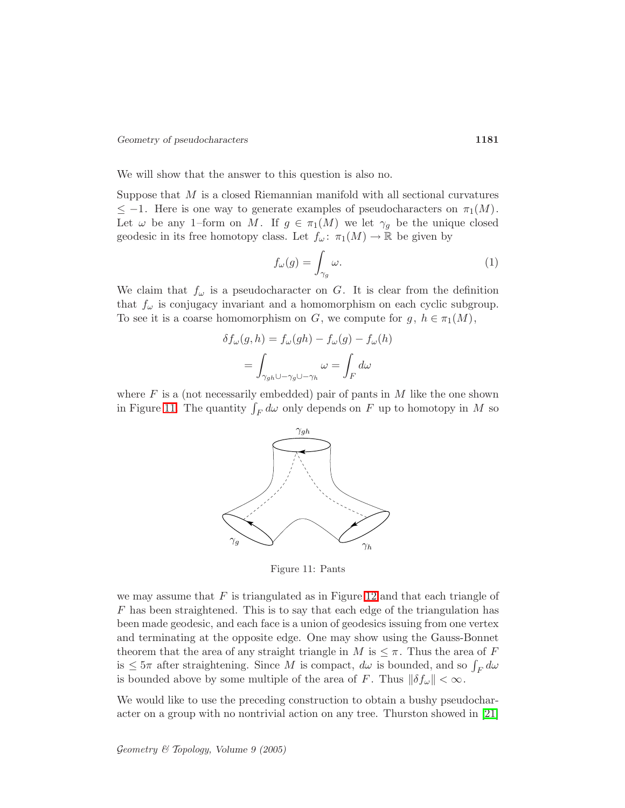#### Geometry of pseudocharacters 1181

We will show that the answer to this question is also no.

Suppose that  $M$  is a closed Riemannian manifold with all sectional curvatures  $≤$  −1. Here is one way to generate examples of pseudocharacters on  $\pi_1(M)$ . Let  $\omega$  be any 1–form on M. If  $g \in \pi_1(M)$  we let  $\gamma_g$  be the unique closed geodesic in its free homotopy class. Let  $f_{\omega}$ :  $\pi_1(M) \to \mathbb{R}$  be given by

<span id="page-34-1"></span>
$$
f_{\omega}(g) = \int_{\gamma_g} \omega.
$$
 (1)

We claim that  $f_{\omega}$  is a pseudocharacter on G. It is clear from the definition that  $f_{\omega}$  is conjugacy invariant and a homomorphism on each cyclic subgroup. To see it is a coarse homomorphism on G, we compute for  $g, h \in \pi_1(M)$ ,

$$
\delta f_{\omega}(g, h) = f_{\omega}(gh) - f_{\omega}(g) - f_{\omega}(h)
$$

$$
= \int_{\gamma_{gh} \cup -\gamma_g \cup -\gamma_h} \omega = \int_F d\omega
$$

where  $F$  is a (not necessarily embedded) pair of pants in  $M$  like the one shown in Figure [11.](#page-34-0) The quantity  $\int_F d\omega$  only depends on F up to homotopy in M so



<span id="page-34-0"></span>Figure 11: Pants

we may assume that  $F$  is triangulated as in Figure [12](#page-35-0) and that each triangle of F has been straightened. This is to say that each edge of the triangulation has been made geodesic, and each face is a union of geodesics issuing from one vertex and terminating at the opposite edge. One may show using the Gauss-Bonnet theorem that the area of any straight triangle in M is  $\leq \pi$ . Thus the area of F is  $\leq 5\pi$  after straightening. Since M is compact,  $d\omega$  is bounded, and so  $\int_F d\omega$ is bounded above by some multiple of the area of F. Thus  $\|\delta f_\omega\| < \infty$ .

We would like to use the preceding construction to obtain a bushy pseudocharacter on a group with no nontrivial action on any tree. Thurston showed in [\[21\]](#page-38-13)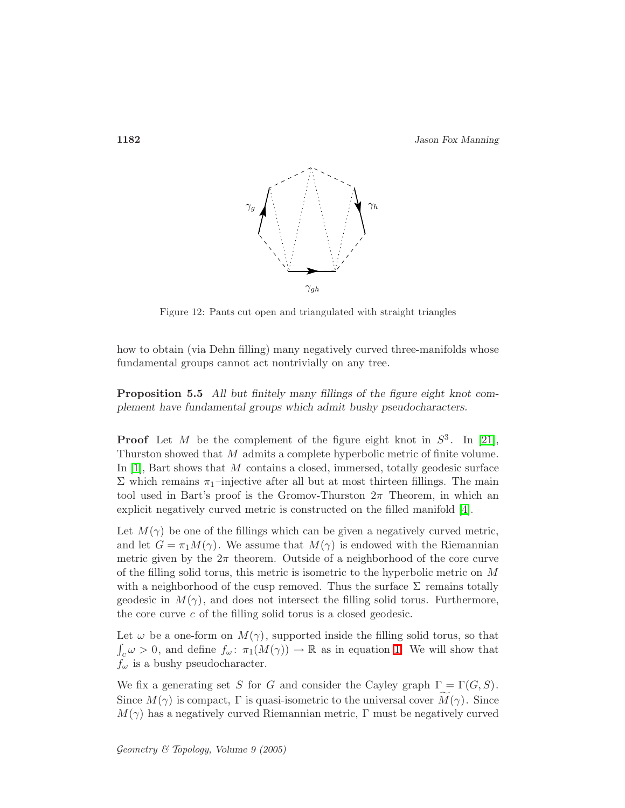1182 Jason Fox Manning



<span id="page-35-0"></span>Figure 12: Pants cut open and triangulated with straight triangles

how to obtain (via Dehn filling) many negatively curved three-manifolds whose fundamental groups cannot act nontrivially on any tree.

Proposition 5.5 All but finitely many fillings of the figure eight knot complement have fundamental groups which admit bushy pseudocharacters.

**Proof** Let M be the complement of the figure eight knot in  $S^3$ . In [\[21\]](#page-38-13), Thurston showed that M admits a complete hyperbolic metric of finite volume. In [\[1\]](#page-37-5), Bart shows that M contains a closed, immersed, totally geodesic surface  $\Sigma$  which remains π<sub>1</sub>-injective after all but at most thirteen fillings. The main tool used in Bart's proof is the Gromov-Thurston  $2\pi$  Theorem, in which an explicit negatively curved metric is constructed on the filled manifold [\[4\]](#page-37-6).

Let  $M(\gamma)$  be one of the fillings which can be given a negatively curved metric, and let  $G = \pi_1 M(\gamma)$ . We assume that  $M(\gamma)$  is endowed with the Riemannian metric given by the  $2\pi$  theorem. Outside of a neighborhood of the core curve of the filling solid torus, this metric is isometric to the hyperbolic metric on M with a neighborhood of the cusp removed. Thus the surface  $\Sigma$  remains totally geodesic in  $M(\gamma)$ , and does not intersect the filling solid torus. Furthermore, the core curve c of the filling solid torus is a closed geodesic.

Let  $\omega$  be a one-form on  $M(\gamma)$ , supported inside the filling solid torus, so that  $\int_c \omega > 0$ , and define  $f_\omega: \pi_1(M(\gamma)) \to \mathbb{R}$  as in equation [1.](#page-34-1) We will show that  $f_{\omega}$  is a bushy pseudocharacter.

We fix a generating set S for G and consider the Cayley graph  $\Gamma = \Gamma(G, S)$ . Since  $M(\gamma)$  is compact, Γ is quasi-isometric to the universal cover  $M(\gamma)$ . Since  $M(\gamma)$  has a negatively curved Riemannian metric,  $\Gamma$  must be negatively curved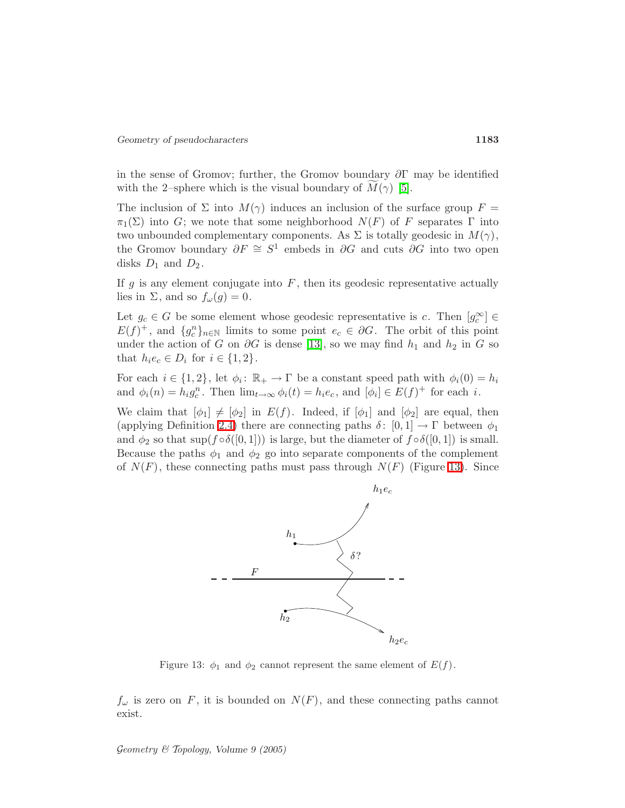in the sense of Gromov; further, the Gromov boundary  $\partial \Gamma$  may be identified with the 2–sphere which is the visual boundary of  $M(\gamma)$  [\[5\]](#page-37-4).

The inclusion of  $\Sigma$  into  $M(\gamma)$  induces an inclusion of the surface group  $F =$  $\pi_1(\Sigma)$  into G; we note that some neighborhood  $N(F)$  of F separates  $\Gamma$  into two unbounded complementary components. As  $\Sigma$  is totally geodesic in  $M(\gamma)$ , the Gromov boundary  $\partial F \cong S^1$  embeds in  $\partial G$  and cuts  $\partial G$  into two open disks  $D_1$  and  $D_2$ .

If g is any element conjugate into  $F$ , then its geodesic representative actually lies in  $\Sigma$ , and so  $f_{\omega}(g) = 0$ .

Let  $g_c \in G$  be some element whose geodesic representative is c. Then  $[g_c^{\infty}] \in$  $E(f)^+$ , and  $\{g_c^n\}_{n\in\mathbb{N}}$  limits to some point  $e_c \in \partial G$ . The orbit of this point under the action of G on  $\partial G$  is dense [\[13\]](#page-38-11), so we may find  $h_1$  and  $h_2$  in G so that  $h_i e_c \in D_i$  for  $i \in \{1, 2\}$ .

For each  $i \in \{1,2\}$ , let  $\phi_i: \mathbb{R}_+ \to \Gamma$  be a constant speed path with  $\phi_i(0) = h_i$ and  $\phi_i(n) = h_i g_c^n$ . Then  $\lim_{t \to \infty} \phi_i(t) = h_i e_c$ , and  $[\phi_i] \in E(f)^+$  for each *i*.

We claim that  $[\phi_1] \neq [\phi_2]$  in  $E(f)$ . Indeed, if  $[\phi_1]$  and  $[\phi_2]$  are equal, then (applying Definition [2.4\)](#page-3-0) there are connecting paths  $\delta: [0,1] \to \Gamma$  between  $\phi_1$ and  $\phi_2$  so that sup( $f \circ \delta([0,1])$ ) is large, but the diameter of  $f \circ \delta([0,1])$  is small. Because the paths  $\phi_1$  and  $\phi_2$  go into separate components of the complement of  $N(F)$ , these connecting paths must pass through  $N(F)$  (Figure [13\)](#page-36-0). Since



<span id="page-36-0"></span>Figure 13:  $\phi_1$  and  $\phi_2$  cannot represent the same element of  $E(f)$ .

 $f_{\omega}$  is zero on F, it is bounded on  $N(F)$ , and these connecting paths cannot exist.

Geometry & Topology, Volume 9 (2005)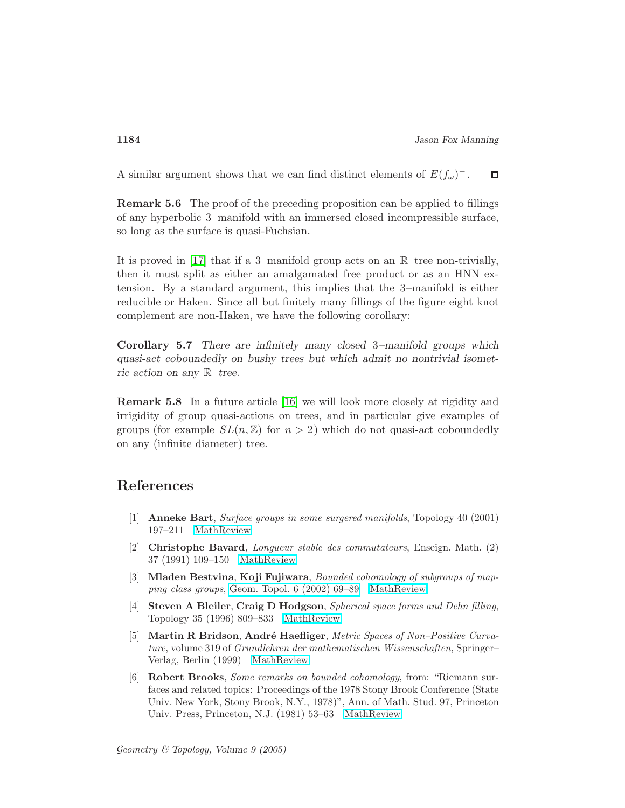A similar argument shows that we can find distinct elements of  $E(f_\omega)^-$ .  $\Box$ 

Remark 5.6 The proof of the preceding proposition can be applied to fillings of any hyperbolic 3–manifold with an immersed closed incompressible surface, so long as the surface is quasi-Fuchsian.

It is proved in [\[17\]](#page-38-14) that if a 3-manifold group acts on an  $\mathbb{R}$ -tree non-trivially, then it must split as either an amalgamated free product or as an HNN extension. By a standard argument, this implies that the 3–manifold is either reducible or Haken. Since all but finitely many fillings of the figure eight knot complement are non-Haken, we have the following corollary:

<span id="page-37-3"></span>Corollary 5.7 There are infinitely many closed 3–manifold groups which quasi-act coboundedly on bushy trees but which admit no nontrivial isometric action on any R–tree.

Remark 5.8 In a future article [\[16\]](#page-38-15) we will look more closely at rigidity and irrigidity of group quasi-actions on trees, and in particular give examples of groups (for example  $SL(n,\mathbb{Z})$  for  $n > 2$ ) which do not quasi-act coboundedly on any (infinite diameter) tree.

## <span id="page-37-5"></span>References

- [1] Anneke Bart, Surface groups in some surgered manifolds, Topology 40 (2001) 197–211 [MathReview](http://www.ams.org/mathscinet-getitem?mr=1791272)
- <span id="page-37-2"></span>[2] Christophe Bavard, Longueur stable des commutateurs, Enseign. Math. (2) 37 (1991) 109–150 [MathReview](http://www.ams.org/mathscinet-getitem?mr=1115747)
- <span id="page-37-1"></span>[3] Mladen Bestvina, Koji Fujiwara, Bounded cohomology of subgroups of mapping class groups, [Geom. Topol. 6 \(2002\) 69–89](http://www.maths.warwick.ac.uk/gt/GTVol6/paper4.abs.html) [MathReview](http://www.ams.org/mathscinet-getitem?mr=1914565)
- <span id="page-37-6"></span>[4] Steven A Bleiler, Craig D Hodgson, Spherical space forms and Dehn filling, Topology 35 (1996) 809–833 [MathReview](http://www.ams.org/mathscinet-getitem?mr=1396779)
- <span id="page-37-4"></span>[5] Martin R Bridson, André Haefliger, Metric Spaces of Non–Positive Curvature, volume 319 of Grundlehren der mathematischen Wissenschaften, Springer– Verlag, Berlin (1999) [MathReview](http://www.ams.org/mathscinet-getitem?mr=1744486)
- <span id="page-37-0"></span>[6] Robert Brooks, Some remarks on bounded cohomology, from: "Riemann surfaces and related topics: Proceedings of the 1978 Stony Brook Conference (State Univ. New York, Stony Brook, N.Y., 1978)", Ann. of Math. Stud. 97, Princeton Univ. Press, Princeton, N.J. (1981) 53–63 [MathReview](http://www.ams.org/mathscinet-getitem?mr=0624804)